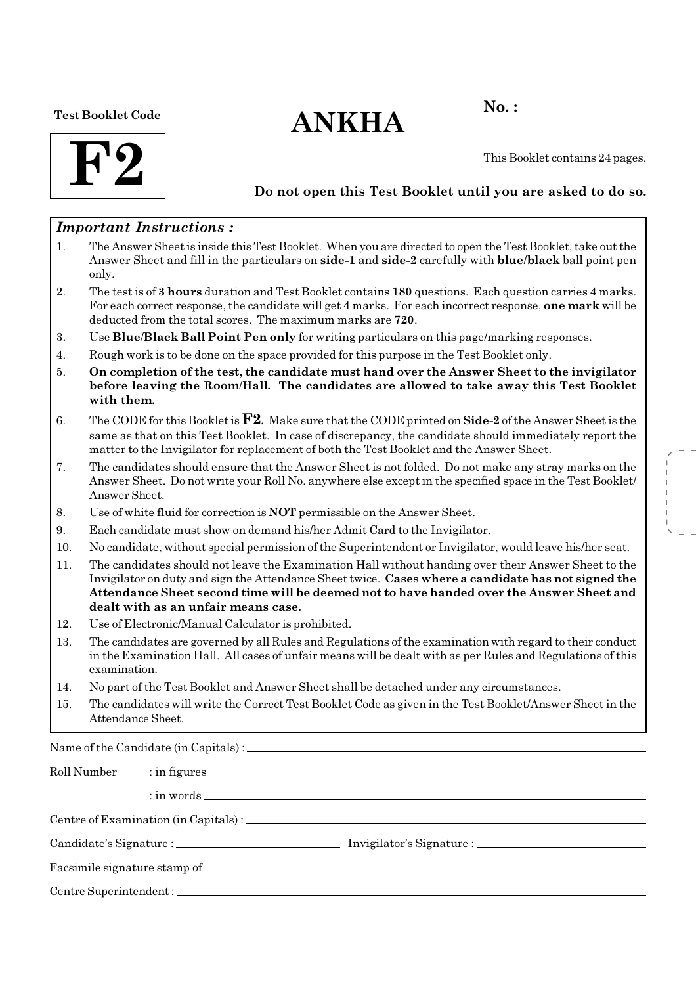Test Booklet Code

# $ANKHA$ <sup>No.:</sup>



This Booklet contains 24 pages.

## Do not open this Test Booklet until you are asked to do so.

## Important Instructions :

- 1. The Answer Sheet is inside this Test Booklet. When you are directed to open the Test Booklet, take out the Answer Sheet and fill in the particulars on side-1 and side-2 carefully with blue/black ball point pen only.
- 2. The test is of 3 hours duration and Test Booklet contains 180 questions. Each question carries 4 marks. For each correct response, the candidate will get 4 marks. For each incorrect response, one mark will be deducted from the total scores. The maximum marks are 720.
- 3. Use Blue/Black Ball Point Pen only for writing particulars on this page/marking responses.
- 4. Rough work is to be done on the space provided for this purpose in the Test Booklet only.
- 5. On completion of the test, the candidate must hand over the Answer Sheet to the invigilator before leaving the Room/Hall. The candidates are allowed to take away this Test Booklet with them.
- 6. The CODE for this Booklet is **. Make sure that the CODE printed on <b>Side-2** of the Answer Sheet is the same as that on this Test Booklet. In case of discrepancy, the candidate should immediately report the matter to the Invigilator for replacement of both the Test Booklet and the Answer Sheet.
- 7. The candidates should ensure that the Answer Sheet is not folded. Do not make any stray marks on the Answer Sheet. Do not write your Roll No. anywhere else except in the specified space in the Test Booklet/ Answer Sheet.
- 8. Use of white fluid for correction is NOT permissible on the Answer Sheet.
- 9. Each candidate must show on demand his/her Admit Card to the Invigilator.
- 10. No candidate, without special permission of the Superintendent or Invigilator, would leave his/her seat.
- 11. The candidates should not leave the Examination Hall without handing over their Answer Sheet to the Invigilator on duty and sign the Attendance Sheet twice. Cases where a candidate has not signed the Attendance Sheet second time will be deemed not to have handed over the Answer Sheet and dealt with as an unfair means case.
- 12. Use of Electronic/Manual Calculator is prohibited.
- 13. The candidates are governed by all Rules and Regulations of the examination with regard to their conduct in the Examination Hall. All cases of unfair means will be dealt with as per Rules and Regulations of this examination.
- 14. No part of the Test Booklet and Answer Sheet shall be detached under any circumstances.
- 15. The candidates will write the Correct Test Booklet Code as given in the Test Booklet/Answer Sheet in the Attendance Sheet.

Name of the Candidate (in Capitals) :

| Roll Number                  |  |  |  |  |
|------------------------------|--|--|--|--|
|                              |  |  |  |  |
|                              |  |  |  |  |
|                              |  |  |  |  |
| Facsimile signature stamp of |  |  |  |  |
|                              |  |  |  |  |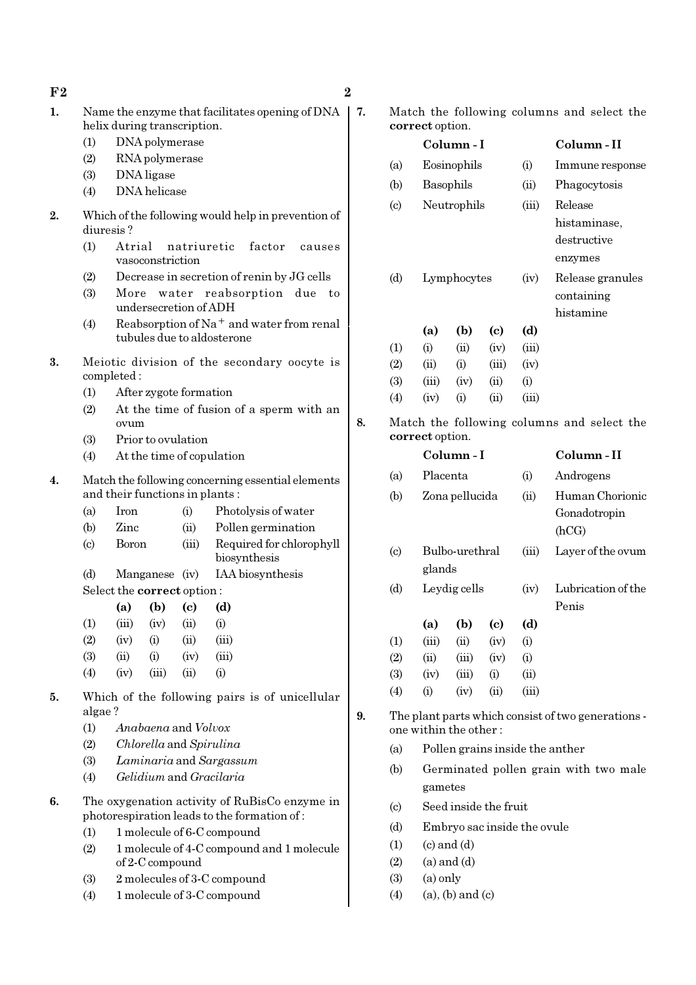| ${\bf F2}$<br>$\sim$ | റ |
|----------------------|---|

| Name the enzyme that facilitates opening of $DNA$ |  |
|---------------------------------------------------|--|
| helix during transcription.                       |  |

- (1) DNA polymerase
- (2) RNA polymerase
- (3) DNA ligase
- (4) DNA helicase
- 2. Which of the following would help in prevention of diuresis ?
	- (1) Atrial natriuretic factor causes vasoconstriction
	- (2) Decrease in secretion of renin by JG cells
	- (3) More water reabsorption due to undersecretion of ADH
	- (4) Reabsorption of Na<sup>+</sup> and water from renal tubules due to aldosterone
- 3. Meiotic division of the secondary oocyte is completed :
	- (1) After zygote formation
	- (2) At the time of fusion of a sperm with an ovum
	- (3) Prior to ovulation
	- (4) At the time of copulation
- 4. Match the following concerning essential elements and their functions in plants :
	- (a) Iron (i) Photolysis of water
	- (b) Zinc (ii) Pollen germination
	- (c) Boron (iii) Required for chlorophyll biosynthesis
	- (d) Manganese (iv) IAA biosynthesis Select the correct option :

|                   | ~~~~~~~~~~~~~~~~~~~~ |                        |      |          |
|-------------------|----------------------|------------------------|------|----------|
|                   | (a)                  | (b)                    | (c)  | (d)      |
| (1)               | (iii)                | (iv)                   | (ii) | $\rm(i)$ |
| (2)               | (iv)                 | $\rm \scriptstyle (i)$ | (ii) | (iii)    |
| (3)               | (ii)                 | $\rm \scriptstyle (i)$ | (iv) | (iii)    |
| $\left( 4\right)$ | (iv)                 | (iii)                  | (ii) | $\rm(i)$ |

- 5. Which of the following pairs is of unicellular algae ?
	- (1) Anabaena and Volvox
	- (2) Chlorella and Spirulina
	- (3) Laminaria and Sargassum
	- (4) Gelidium and Gracilaria
- 6. The oxygenation activity of RuBisCo enzyme in photorespiration leads to the formation of :
	- (1) 1 molecule of 6-C compound
	- (2) 1 molecule of 4-C compound and 1 molecule of 2-C compound
	- (3) 2 molecules of 3-C compound
	- (4) 1 molecule of 3-C compound

7. Match the following columns and select the correct option.

|                            | correct option.       |                |       |       |                                                    |
|----------------------------|-----------------------|----------------|-------|-------|----------------------------------------------------|
|                            | Column-I              |                |       |       | Column - II                                        |
| (a)                        | Eosinophils           |                |       | (i)   | Immune response                                    |
| (b)                        | Basophils             |                |       | (ii)  | Phagocytosis                                       |
| $\left( \mathrm{c}\right)$ |                       | Neutrophils    |       | (iii) | Release                                            |
|                            |                       |                |       |       | histaminase,                                       |
|                            |                       |                |       |       | destructive                                        |
|                            |                       |                |       |       | enzymes                                            |
| (d)                        |                       | Lymphocytes    |       | (iv)  | Release granules                                   |
|                            |                       |                |       |       | containing                                         |
|                            |                       |                |       |       | histamine                                          |
|                            | (a)                   | (b)            | (c)   | (d)   |                                                    |
| (1)                        | (i)                   | (ii)           | (iv)  | (iii) |                                                    |
| (2)                        | (ii)                  | (i)            | (iii) | (iv)  |                                                    |
| (3)                        | (iii)                 | (iv)           | (ii)  | (i)   |                                                    |
| (4)                        | (iv)                  | (i)            | (ii)  | (iii) |                                                    |
|                            |                       |                |       |       |                                                    |
|                            | correct option.       |                |       |       | Match the following columns and select the         |
|                            |                       | Column-I       |       |       | Column-II                                          |
| (a)                        | Placenta              |                |       | (i)   | Androgens                                          |
| (b)                        |                       | Zona pellucida |       | (ii)  | Human Chorionic                                    |
|                            |                       |                |       |       | Gonadotropin                                       |
|                            |                       |                |       |       | (hCG)                                              |
| $\left( \mathrm{c}\right)$ | glands                | Bulbo-urethral |       | (iii) | Layer of the ovum                                  |
| (d)                        |                       | Leydig cells   |       | (iv)  | Lubrication of the                                 |
|                            |                       |                |       |       | Penis                                              |
|                            | (a)                   | (b)            | (c)   | (d)   |                                                    |
| (1)                        | (iii)                 | (ii)           | (iv)  | (i)   |                                                    |
| (2)                        | (ii)                  | (iii)          | (iv)  | (i)   |                                                    |
| (3)                        | (iv)                  | (iii)          | (i)   | (ii)  |                                                    |
| (4)                        | (i)                   | (iv)           | (ii)  | (iii) |                                                    |
|                            | one within the other: |                |       |       | The plant parts which consist of two generations - |
| (a)                        |                       |                |       |       | Pollen grains inside the anther                    |

- (b) Germinated pollen grain with two male gametes
- (c) Seed inside the fruit
- (d) Embryo sac inside the ovule
- $(1)$   $(c)$  and  $(d)$
- $(2)$   $(a)$  and  $(d)$
- $(3)$   $(a)$  only
- (4) (a), (b) and (c)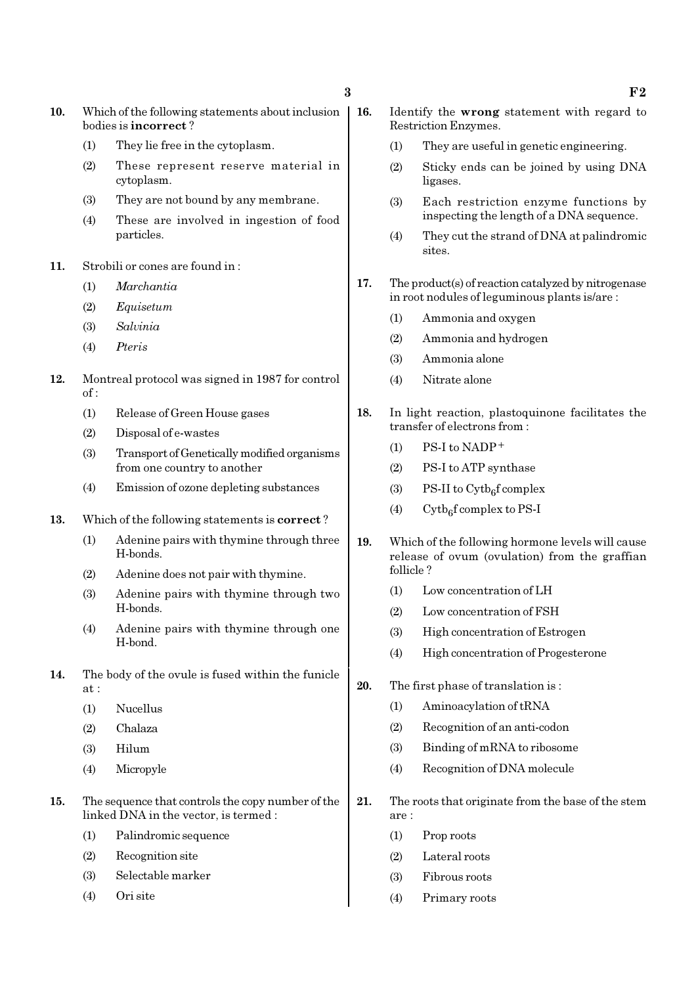- 10. Which of the following statements about inclusion | 16. bodies is incorrect ?
	- (1) They lie free in the cytoplasm.
	- (2) These represent reserve material in cytoplasm.
	- (3) They are not bound by any membrane.
	- (4) These are involved in ingestion of food particles.
- 11. Strobili or cones are found in :
	- (1) Marchantia
	- (2) Equisetum
	- (3) Salvinia
	- (4) Pteris
- 12. Montreal protocol was signed in 1987 for control of :
	- (1) Release of Green House gases
	- (2) Disposal of e-wastes
	- (3) Transport of Genetically modified organisms from one country to another
	- (4) Emission of ozone depleting substances
- 13. Which of the following statements is correct ?
	- (1) Adenine pairs with thymine through three H-bonds.
	- (2) Adenine does not pair with thymine.
	- (3) Adenine pairs with thymine through two H-bonds.
	- (4) Adenine pairs with thymine through one H-bond.
- 14. The body of the ovule is fused within the funicle at :
	- (1) Nucellus
	- (2) Chalaza
	- (3) Hilum
	- (4) Micropyle
- 15. The sequence that controls the copy number of the linked DNA in the vector, is termed :
	- (1) Palindromic sequence
	- (2) Recognition site
	- (3) Selectable marker
	- (4) Ori site
- Identify the wrong statement with regard to Restriction Enzymes.
	- (1) They are useful in genetic engineering.
	- (2) Sticky ends can be joined by using DNA ligases.
	- (3) Each restriction enzyme functions by inspecting the length of a DNA sequence.
	- (4) They cut the strand of DNA at palindromic sites.
- 17. The product(s) of reaction catalyzed by nitrogenase in root nodules of leguminous plants is/are :
	- (1) Ammonia and oxygen
	- (2) Ammonia and hydrogen
	- (3) Ammonia alone
	- (4) Nitrate alone
- 18. In light reaction, plastoquinone facilitates the transfer of electrons from :
	- $(1)$  PS-I to NADP<sup>+</sup>
	- (2) PS-I to ATP synthase
	- (3) PS-II to  $\text{Cytb}_6\text{f}$  complex
	- (4) Cytb<sub>6</sub>f complex to PS-I
- 19. Which of the following hormone levels will cause release of ovum (ovulation) from the graffian follicle ?
	- (1) Low concentration of LH
	- (2) Low concentration of FSH
	- (3) High concentration of Estrogen
	- (4) High concentration of Progesterone
- 20. The first phase of translation is :
	- (1) Aminoacylation of tRNA
	- (2) Recognition of an anti-codon
	- (3) Binding of mRNA to ribosome
	- (4) Recognition of DNA molecule
- 21. The roots that originate from the base of the stem are :
	- (1) Prop roots
	- (2) Lateral roots
	- (3) Fibrous roots
	- (4) Primary roots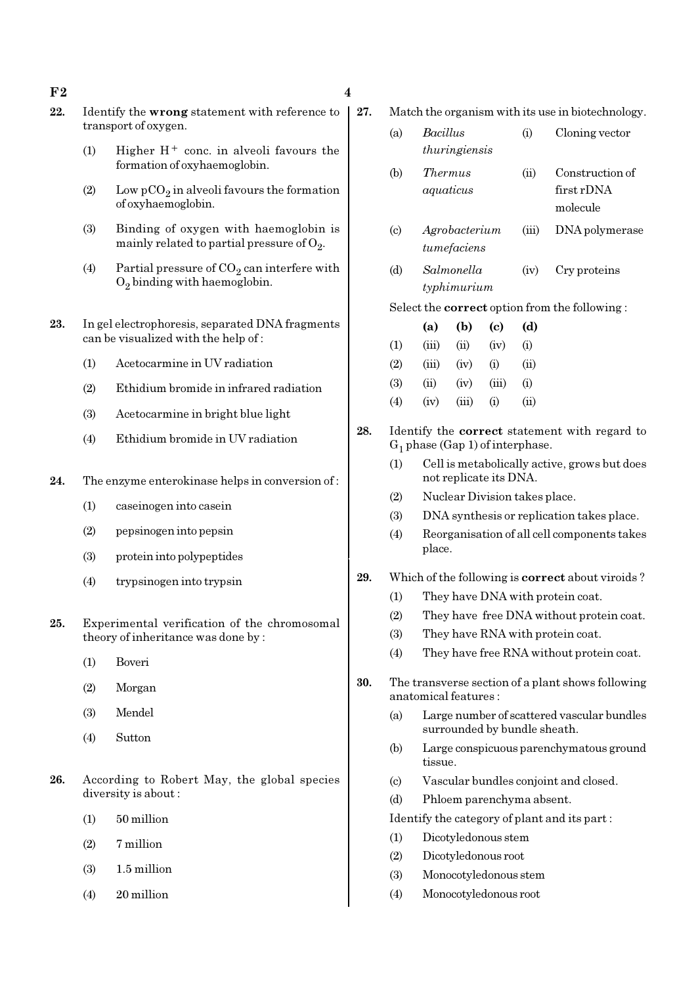### $F2 \hspace{0.2cm} 4$

- 22. Identify the wrong statement with reference to transport of oxygen.
	- (1) Higher  $H^+$  conc. in alveoli favours the formation of oxyhaemoglobin.
	- (2) Low  $pCO_2$  in alveoli favours the formation of oxyhaemoglobin.
	- (3) Binding of oxygen with haemoglobin is mainly related to partial pressure of  $\mathrm{O}_2$ .
	- (4) Partial pressure of  $CO_2$  can interfere with  $O_2$  binding with haemoglobin.
- 23. In gel electrophoresis, separated DNA fragments can be visualized with the help of :
	- (1) Acetocarmine in UV radiation
	- (2) Ethidium bromide in infrared radiation
	- (3) Acetocarmine in bright blue light
	- (4) Ethidium bromide in UV radiation
- 24. The enzyme enterokinase helps in conversion of :
	- (1) caseinogen into casein
	- (2) pepsinogen into pepsin
	- (3) protein into polypeptides
	- (4) trypsinogen into trypsin
- 25. Experimental verification of the chromosomal theory of inheritance was done by :
	- (1) Boveri
	- (2) Morgan
	- (3) Mendel
	- (4) Sutton
- 26. According to Robert May, the global species diversity is about :
	- (1) 50 million
	- (2) 7 million
	- (3) 1.5 million
	- (4) 20 million
- 
- 27. Match the organism with its use in biotechnology. (a) Bacillus (i) Cloning vector thuringiensis (b) Thermus (ii) Construction of aquaticus first rDNA molecule (c) Agrobacterium (iii) DNA polymerase tumefaciens (d) Salmonella (iv) Cry proteins typhimurium Select the correct option from the following : (a) (b) (c) (d)  $(1)$   $(iii)$   $(ii)$   $(iv)$   $(i)$  $(2)$   $(iii)$   $(iv)$   $(i)$   $(ii)$  $(3)$   $(ii)$   $(iv)$   $(iii)$   $(i)$  $(4)$   $(iv)$   $(iii)$   $(i)$   $(ii)$ 28. Identify the correct statement with regard to  $G_1$  phase (Gap 1) of interphase. (1) Cell is metabolically active, grows but does not replicate its DNA. (2) Nuclear Division takes place. (3) DNA synthesis or replication takes place.
	- (4) Reorganisation of all cell components takes place.
- 29. Which of the following is correct about viroids ?
	- (1) They have DNA with protein coat.
	- (2) They have free DNA without protein coat.
	- (3) They have RNA with protein coat.
	- (4) They have free RNA without protein coat.
- 30. The transverse section of a plant shows following anatomical features :
	- (a) Large number of scattered vascular bundles surrounded by bundle sheath.
	- (b) Large conspicuous parenchymatous ground tissue.
	- (c) Vascular bundles conjoint and closed.
	- (d) Phloem parenchyma absent.

Identify the category of plant and its part :

- (1) Dicotyledonous stem
- (2) Dicotyledonous root
- (3) Monocotyledonous stem
- (4) Monocotyledonous root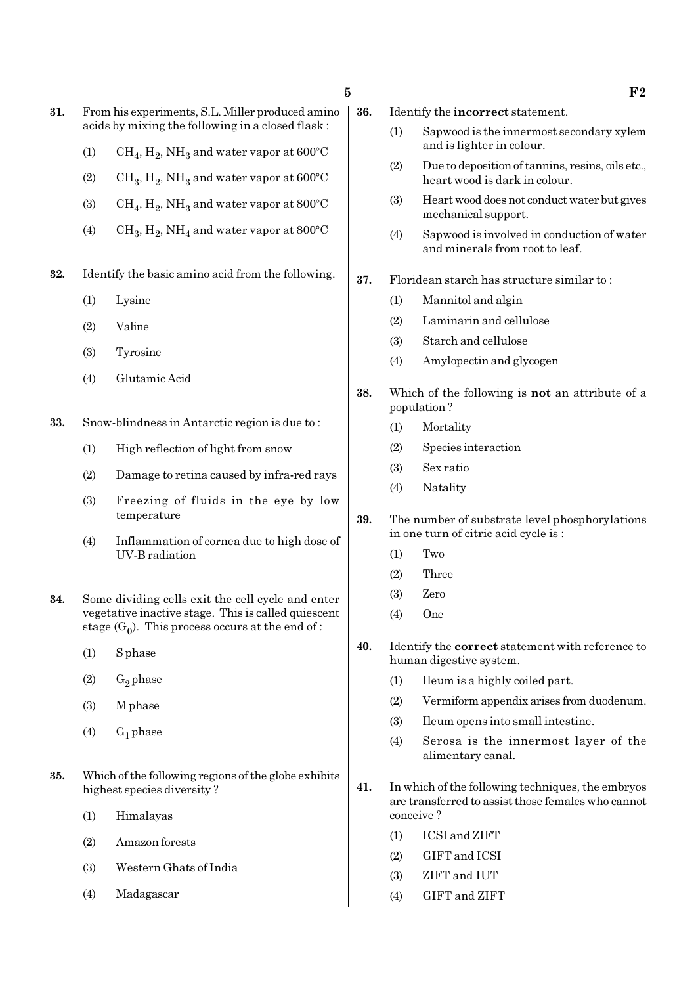- 31. From his experiments, S.L. Miller produced amino acids by mixing the following in a closed flask :
	- (1)  $\mathrm{CH}_4, \mathrm{H}_2, \mathrm{NH}_3$  and water vapor at 600°C
	- (2)  $\mathrm{CH}_3, \mathrm{H}_2, \mathrm{NH}_3$  and water vapor at 600°C
	- (3)  $\mathrm{CH}_4, \mathrm{H}_2, \mathrm{NH}_3$  and water vapor at 800°C
	- (4)  $\mathrm{CH}_3, \mathrm{H}_2, \mathrm{NH}_4$  and water vapor at 800°C
- 32. Identify the basic amino acid from the following.
	- (1) Lysine
	- (2) Valine
	- (3) Tyrosine
	- (4) Glutamic Acid
- 33. Snow-blindness in Antarctic region is due to :
	- (1) High reflection of light from snow
	- (2) Damage to retina caused by infra-red rays
	- (3) Freezing of fluids in the eye by low temperature
	- (4) Inflammation of cornea due to high dose of UV-B radiation
- 34. Some dividing cells exit the cell cycle and enter vegetative inactive stage. This is called quiescent stage  $(G_0)$ . This process occurs at the end of :
	- (1) S phase
	- $(2)$  G<sub>2</sub> phase
	- (3) M phase
	- $(4)$  G<sub>1</sub> phase
- 35. Which of the following regions of the globe exhibits highest species diversity ?
	- (1) Himalayas
	- (2) Amazon forests
	- (3) Western Ghats of India
	- (4) Madagascar
- 36. Identify the incorrect statement.
	- (1) Sapwood is the innermost secondary xylem and is lighter in colour.
	- (2) Due to deposition of tannins, resins, oils etc., heart wood is dark in colour.
	- (3) Heart wood does not conduct water but gives mechanical support.
	- (4) Sapwood is involved in conduction of water and minerals from root to leaf.
- 37. Floridean starch has structure similar to :
	- (1) Mannitol and algin
	- (2) Laminarin and cellulose
	- (3) Starch and cellulose
	- (4) Amylopectin and glycogen
- 38. Which of the following is not an attribute of a population ?
	- (1) Mortality
	- (2) Species interaction
	- (3) Sex ratio
	- (4) Natality
- 39. The number of substrate level phosphorylations in one turn of citric acid cycle is :
	- (1) Two
	- (2) Three
	- (3) Zero
	- (4) One
- 40. Identify the correct statement with reference to human digestive system.
	- (1) Ileum is a highly coiled part.
	- (2) Vermiform appendix arises from duodenum.
	- (3) Ileum opens into small intestine.
	- (4) Serosa is the innermost layer of the alimentary canal.
- 41. In which of the following techniques, the embryos are transferred to assist those females who cannot conceive ?
	- (1) ICSI and ZIFT
	- (2) GIFT and ICSI
	- (3) ZIFT and IUT
	- (4) GIFT and ZIFT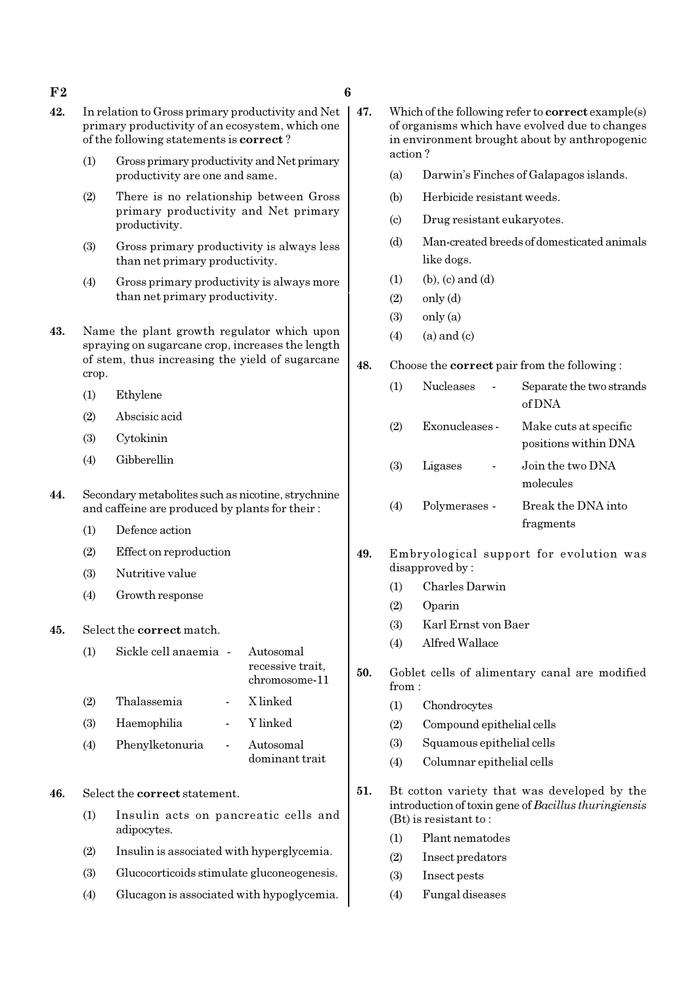### $F2$  6

- 42. In relation to Gross primary productivity and Net primary productivity of an ecosystem, which one of the following statements is correct ?
	- (1) Gross primary productivity and Net primary productivity are one and same.
	- (2) There is no relationship between Gross primary productivity and Net primary productivity.
	- (3) Gross primary productivity is always less than net primary productivity.
	- (4) Gross primary productivity is always more than net primary productivity.
- 43. Name the plant growth regulator which upon spraying on sugarcane crop, increases the length of stem, thus increasing the yield of sugarcane crop.
	- (1) Ethylene
	- (2) Abscisic acid
	- (3) Cytokinin
	- (4) Gibberellin
- 44. Secondary metabolites such as nicotine, strychnine and caffeine are produced by plants for their :
	- (1) Defence action
	- (2) Effect on reproduction
	- (3) Nutritive value
	- (4) Growth response
- 45. Select the correct match.

# (1) Sickle cell anaemia - Autosomal recessive trait, chromosome-11 (2) Thalassemia - X linked

- (3) Haemophilia Y linked
- (4) Phenylketonuria Autosomal dominant trait
- 46. Select the correct statement.
	- (1) Insulin acts on pancreatic cells and adipocytes.
	- (2) Insulin is associated with hyperglycemia.
	- (3) Glucocorticoids stimulate gluconeogenesis.
	- (4) Glucagon is associated with hypoglycemia.
- 47. Which of the following refer to correct example(s) of organisms which have evolved due to changes in environment brought about by anthropogenic action ?
	- (a) Darwin's Finches of Galapagos islands.
	- (b) Herbicide resistant weeds.
	- (c) Drug resistant eukaryotes.
	- (d) Man-created breeds of domesticated animals like dogs.
	- $(1)$  (b),  $(c)$  and  $(d)$
	- $(2)$  only  $(d)$
	- $(3)$  only  $(a)$
	- $(4)$  (a) and (c)

### 48. Choose the correct pair from the following :

| (1) | <b>Nucleases</b> | Separate the two strands<br>of DNA            |
|-----|------------------|-----------------------------------------------|
| (2) | Exonucleases -   | Make cuts at specific<br>positions within DNA |
| (3) | Ligases          | Join the two DNA<br>molecules                 |
| (4) | Polymerases -    | Break the DNA into<br>fragments               |

- 49. Embryological support for evolution was disapproved by :
	- (1) Charles Darwin
	- (2) Oparin
	- (3) Karl Ernst von Baer
	- (4) Alfred Wallace
- 50. Goblet cells of alimentary canal are modified from :
	- (1) Chondrocytes
	- (2) Compound epithelial cells
	- (3) Squamous epithelial cells
	- (4) Columnar epithelial cells
- 51. Bt cotton variety that was developed by the introduction of toxin gene of Bacillus thuringiensis (Bt) is resistant to :
	- (1) Plant nematodes
	- (2) Insect predators
	- (3) Insect pests
	- (4) Fungal diseases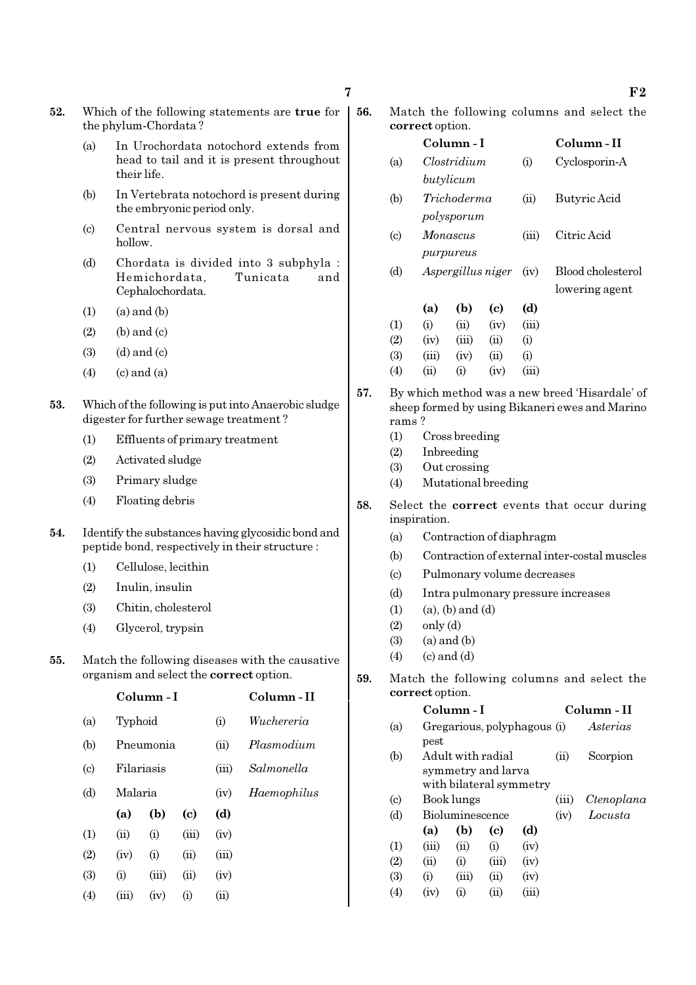- 52. Which of the following statements are true for the phylum-Chordata ?
	- (a) In Urochordata notochord extends from head to tail and it is present throughout their life.
	- (b) In Vertebrata notochord is present during the embryonic period only.
	- (c) Central nervous system is dorsal and hollow.
	- (d) Chordata is divided into 3 subphyla : Hemichordata, Tunicata and Cephalochordata.
	- $(1)$   $(a)$  and  $(b)$
	- $(2)$  (b) and  $(c)$
	- $(3)$   $(d)$  and  $(c)$
	- $(4)$   $(c)$  and  $(a)$
- 53. Which of the following is put into Anaerobic sludge digester for further sewage treatment ?
	- (1) Effluents of primary treatment
	- (2) Activated sludge
	- (3) Primary sludge
	- (4) Floating debris
- 54. Identify the substances having glycosidic bond and peptide bond, respectively in their structure :
	- (1) Cellulose, lecithin
	- (2) Inulin, insulin
	- (3) Chitin, cholesterol
	- (4) Glycerol, trypsin
- 55. Match the following diseases with the causative organism and select the correct option.

|                            |         | Column - I | Column - II |       |             |
|----------------------------|---------|------------|-------------|-------|-------------|
| (a)                        |         | Typhoid    |             |       | Wuchereria  |
| (b)                        |         | Pneumonia  |             |       | Plasmodium  |
| $\left( \mathrm{c}\right)$ |         | Filariasis |             |       | Salmonella  |
| (d)                        | Malaria |            |             | (iv)  | Haemophilus |
|                            | (a)     | (b)        | (c)         | (d)   |             |
| $\left(1\right)$           | (ii)    | (i)        | (iii)       | (iv)  |             |
| (2)                        | (iv)    | (i)        | (ii)        | (iii) |             |
| (3)                        | (i)     | (iii)      | (ii)        | (iv)  |             |
| (4)                        | (iii)   | (iv)       | (i)         | (ii)  |             |

| 56. |                 | Match the following columns and select the |  |  |
|-----|-----------------|--------------------------------------------|--|--|
|     | correct option. |                                            |  |  |

|                             | correct option. |                   |      |             |                   |
|-----------------------------|-----------------|-------------------|------|-------------|-------------------|
|                             |                 | Column - I        |      | Column - II |                   |
| (a)                         |                 | Clostridium       |      | (i)         | Cyclosporin-A     |
|                             |                 | butylicum         |      |             |                   |
| (b)                         |                 | Trichoderma       |      | (ii)        | Butyric Acid      |
|                             |                 | polysporum        |      |             |                   |
| $\left( \mathrm{c} \right)$ |                 | Monascus          |      | (iii)       | Citric Acid       |
|                             |                 | purpureus         |      |             |                   |
| (d)                         |                 | Aspergillus niger |      | (iv)        | Blood cholesterol |
|                             |                 |                   |      |             | lowering agent    |
|                             | (a)             | (b)               | (c)  | (d)         |                   |
| (1)                         | (i)             | (ii)              | (iv) | (iii)       |                   |
| (2)                         | (iv)            | (iii)             | (ii) | $\rm (i)$   |                   |
| (3)                         | (iii)           | (iv)              | (ii) | $\rm (i)$   |                   |
| $\left( 4\right)$           | (ii)            | $\rm(i)$          | (iv) | (iii)       |                   |
|                             |                 |                   |      |             |                   |

- 57. By which method was a new breed 'Hisardale' of sheep formed by using Bikaneri ewes and Marino rams ?
	- (1) Cross breeding
	- (2) Inbreeding
	- (3) Out crossing
	- (4) Mutational breeding
- 58. Select the correct events that occur during inspiration.
	- (a) Contraction of diaphragm
	- (b) Contraction of external inter-costal muscles
	- (c) Pulmonary volume decreases
	- (d) Intra pulmonary pressure increases
	- $(1)$   $(a)$ ,  $(b)$  and  $(d)$
	- $(2)$  only  $(d)$
	- $(3)$   $(a)$  and  $(b)$
	- $(4)$   $(c)$  and  $(d)$
- 59. Match the following columns and select the correct option.

|     |       | Column - I             |            |                             |            | Column - II |
|-----|-------|------------------------|------------|-----------------------------|------------|-------------|
| (a) |       |                        |            | Gregarious, polyphagous (i) |            | Asterias    |
|     | pest  |                        |            |                             |            |             |
| (b) |       | Adult with radial      |            |                             | $\rm (ii)$ | Scorpion    |
|     |       | symmetry and larva     |            |                             |            |             |
|     |       |                        |            | with bilateral symmetry     |            |             |
| (c) |       | Book lungs             |            |                             | (iii)      | Ctenoplana  |
| (d) |       | <b>Bioluminescence</b> |            |                             | (iv)       | Locusta     |
|     | (a)   | (b)                    | (c)        | (d)                         |            |             |
| (1) | (iii) | (ii)                   | (i)        | (iv)                        |            |             |
| (2) | (ii)  | (i)                    | (iii)      | (iv)                        |            |             |
| (3) | (i)   | (iii)                  | $\rm (ii)$ | (iv)                        |            |             |
| (4) | (iv)  | $\rm(i)$               | (11)       | $\rm (iii)$                 |            |             |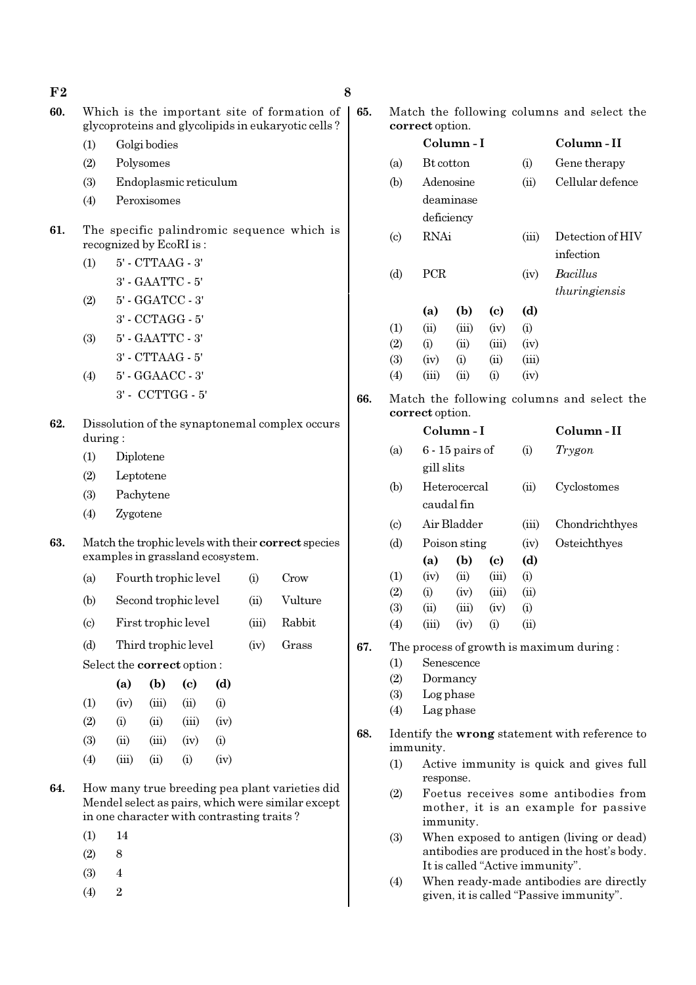| F <sub>2</sub> |                             |                                                                                                   |                        |                                  |      |       |                                                     | 8 |
|----------------|-----------------------------|---------------------------------------------------------------------------------------------------|------------------------|----------------------------------|------|-------|-----------------------------------------------------|---|
| 60.            |                             | Which is the important site of formation of<br>glycoproteins and glycolipids in eukaryotic cells? |                        |                                  |      |       |                                                     |   |
|                | (1)                         |                                                                                                   | Golgi bodies           |                                  |      |       |                                                     |   |
|                | (2)                         |                                                                                                   | Polysomes              |                                  |      |       |                                                     |   |
|                | (3)                         |                                                                                                   |                        | Endoplasmic reticulum            |      |       |                                                     |   |
|                | (4)                         |                                                                                                   | Peroxisomes            |                                  |      |       |                                                     |   |
| 61.            |                             | The specific palindromic sequence which is<br>recognized by EcoRI is:                             |                        |                                  |      |       |                                                     |   |
|                | (1)                         |                                                                                                   | 5' - CTTAAG - 3'       |                                  |      |       |                                                     |   |
|                |                             |                                                                                                   | 3' - GAATTC - 5'       |                                  |      |       |                                                     |   |
|                | (2)                         |                                                                                                   | 5' - GGATCC - 3'       |                                  |      |       |                                                     |   |
|                |                             |                                                                                                   | 3' - CCTAGG - 5'       |                                  |      |       |                                                     |   |
|                | (3)                         |                                                                                                   | 5' - GAATTC - 3'       |                                  |      |       |                                                     |   |
|                |                             |                                                                                                   | $3'$ - $CTTAAG$ - $5'$ |                                  |      |       |                                                     |   |
|                | (4)                         |                                                                                                   | 5' - GGAACC - 3'       |                                  |      |       |                                                     |   |
|                |                             |                                                                                                   |                        | 3' - CCTTGG - 5'                 |      |       |                                                     |   |
| 62.            | during:                     |                                                                                                   |                        |                                  |      |       | Dissolution of the synaptonemal complex occurs      |   |
|                | (1)                         | Diplotene                                                                                         |                        |                                  |      |       |                                                     |   |
|                | (2)                         | Leptotene                                                                                         |                        |                                  |      |       |                                                     |   |
|                | (3)                         |                                                                                                   | Pachytene              |                                  |      |       |                                                     |   |
|                | (4)                         | Zygotene                                                                                          |                        |                                  |      |       |                                                     |   |
| 63.            |                             |                                                                                                   |                        | examples in grassland ecosystem. |      |       | Match the trophic levels with their correct species |   |
|                | (a)                         |                                                                                                   |                        | Fourth trophic level             |      | (i)   | Crow                                                |   |
|                | (b)                         |                                                                                                   |                        | Second trophic level             |      | (ii)  | Vulture                                             |   |
|                | $\left( \mathrm{c} \right)$ |                                                                                                   |                        | First trophic level              |      | (iii) | Rabbit                                              |   |
|                | (d)                         |                                                                                                   |                        | Third trophic level              |      | (iv)  | Grass                                               |   |
|                |                             |                                                                                                   |                        | Select the correct option:       |      |       |                                                     |   |
|                |                             | (a)                                                                                               | (b)                    | $\left( \mathrm{c}\right)$       | (d)  |       |                                                     |   |
|                | (1)                         | (iv)                                                                                              | (iii)                  | (ii)                             | (i)  |       |                                                     |   |
|                | (2)                         | (i)                                                                                               | (ii)                   | (iii)                            | (iv) |       |                                                     |   |
|                | (3)                         | (ii)                                                                                              | (iii)                  | (iv)                             | (i)  |       |                                                     |   |

- (4) (iii) (ii) (i) (iv)
- 64. How many true breeding pea plant varieties did Mendel select as pairs, which were similar except in one character with contrasting traits ?
	- (1) 14
	- $(2)$  8
	- (3) 4
	- $(4)$  2

65. Match the following columns and select the correct option.

|                            |                  | Column - I | Column - II                |       |                  |
|----------------------------|------------------|------------|----------------------------|-------|------------------|
| (a)                        | <b>Bt</b> cotton |            |                            | (i)   | Gene therapy     |
| (b)                        |                  | Adenosine  |                            | (ii)  | Cellular defence |
|                            |                  | deaminase  |                            |       |                  |
|                            |                  | deficiency |                            |       |                  |
| $\left( \mathrm{c}\right)$ | RNAi             |            |                            | (iii) | Detection of HIV |
|                            |                  |            |                            |       | infection        |
| (d)                        | <b>PCR</b>       |            |                            | (iv)  | <i>Bacillus</i>  |
|                            |                  |            |                            |       | thuringiensis    |
|                            | (a)              | (b)        | $\left( \mathrm{e}\right)$ | (d)   |                  |
| (1)                        | (ii)             | (iii)      | (iv)                       | (i)   |                  |
| (2)                        | (i)              | (ii)       | (iii)                      | (iv)  |                  |
| (3)                        | (iv)             | (i)        | (ii)                       | (iii) |                  |
| (4)                        | (iii)            | (ii)       | (i)                        | (iv)  |                  |

66. Match the following columns and select the correct option.

|                             |            | Column - I        |                 |       | Column - II    |
|-----------------------------|------------|-------------------|-----------------|-------|----------------|
| (a)                         |            | $6 - 15$ pairs of |                 | (i)   | Trygon         |
|                             | gill slits |                   |                 |       |                |
| (b)                         |            | Heterocercal      |                 | (ii)  | Cyclostomes    |
|                             |            | caudal fin        |                 |       |                |
| $\left( \mathrm{c} \right)$ |            | Air Bladder       |                 | (iii) | Chondrichthyes |
| (d)                         |            | Poison sting      |                 | (iv)  | Osteichthyes   |
|                             | (a)        | (b)               | (c)             | (d)   |                |
| (1)                         | (iv)       | (ii)              | (iii)           | (i)   |                |
| (2)                         | (i)        | (iv)              | (iii)           | (ii)  |                |
| (3)                         | (ii)       | (iii)             | (iv)            | (i)   |                |
| (4)                         | (iii)      | (iv)              | (i)             | (ii)  |                |
| mı                          |            |                   | $\cdot$ $\cdot$ |       |                |

67. The process of growth is maximum during :

- (1) Senescence
- (2) Dormancy
- (3) Log phase
- (4) Lag phase
- 68. Identify the wrong statement with reference to immunity.
	- (1) Active immunity is quick and gives full response.
	- (2) Foetus receives some antibodies from mother, it is an example for passive immunity.
	- (3) When exposed to antigen (living or dead) antibodies are produced in the host's body. It is called "Active immunity".
	- (4) When ready-made antibodies are directly given, it is called "Passive immunity".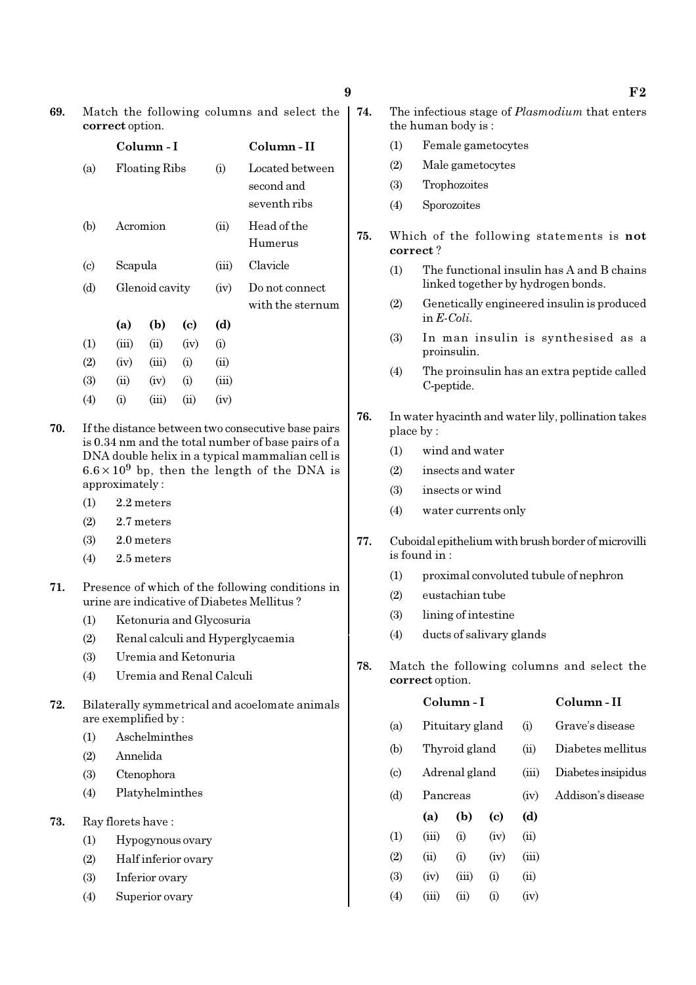| 69. | Match the following columns and select the |  |
|-----|--------------------------------------------|--|
|     | correct option.                            |  |

|                             |           | Column - I           |      |          | Column - II                                   |
|-----------------------------|-----------|----------------------|------|----------|-----------------------------------------------|
| (a)                         |           | <b>Floating Ribs</b> |      | $\rm(i)$ | Located between<br>second and<br>seventh ribs |
| (b)                         |           | Acromion             |      | (ii)     | Head of the<br>Humerus                        |
| $\left( \mathrm{c} \right)$ | Scapula   |                      |      | (iii)    | Clavicle                                      |
| (d)                         |           | Glenoid cavity       |      | (iv)     | Do not connect<br>with the sternum            |
|                             | (a)       | (b)                  | (c)  | (d)      |                                               |
| (1)                         | (iii)     | (ii)                 | (iv) | (i)      |                                               |
| (2)                         | (iv)      | (iii)                | (i)  | (ii)     |                                               |
| (3)                         | (ii)      | (iv)                 | (i)  | (iii)    |                                               |
| (4)                         | $\rm (i)$ | (iii)                | (ii) | (iv)     |                                               |

- 70. If the distance between two consecutive base pairs is 0.34 nm and the total number of base pairs of a DNA double helix in a typical mammalian cell is  $6.6 \times 10^9$  bp, then the length of the DNA is approximately :
	- (1) 2.2 meters
	- (2) 2.7 meters
	- (3) 2.0 meters
	- (4) 2.5 meters
- 71. Presence of which of the following conditions in urine are indicative of Diabetes Mellitus ?
	- (1) Ketonuria and Glycosuria
	- (2) Renal calculi and Hyperglycaemia
	- (3) Uremia and Ketonuria
	- (4) Uremia and Renal Calculi
- 72. Bilaterally symmetrical and acoelomate animals are exemplified by :
	- (1) Aschelminthes
	- (2) Annelida
	- (3) Ctenophora
	- (4) Platyhelminthes
- 73. Ray florets have :
	- (1) Hypogynous ovary
	- (2) Half inferior ovary
	- (3) Inferior ovary
	- (4) Superior ovary
- 74. The infectious stage of Plasmodium that enters the human body is :
	- (1) Female gametocytes
	- (2) Male gametocytes
	- (3) Trophozoites
	- (4) Sporozoites
- 75. Which of the following statements is not correct ?
	- (1) The functional insulin has A and B chains linked together by hydrogen bonds.
	- (2) Genetically engineered insulin is produced in E-Coli.
	- (3) In man insulin is synthesised as a proinsulin.
	- (4) The proinsulin has an extra peptide called C-peptide.
- 76. In water hyacinth and water lily, pollination takes place by :
	- (1) wind and water
	- (2) insects and water
	- (3) insects or wind
	- (4) water currents only
- 77. Cuboidal epithelium with brush border of microvilli is found in :
	- (1) proximal convoluted tubule of nephron
	- (2) eustachian tube
	- (3) lining of intestine
	- (4) ducts of salivary glands
- 78. Match the following columns and select the correct option.

|                            |          | Column - I      |      | Column - II |                    |
|----------------------------|----------|-----------------|------|-------------|--------------------|
| (a)                        |          | Pituitary gland |      | (i)         | Grave's disease    |
| (b)                        |          | Thyroid gland   |      |             | Diabetes mellitus  |
| $\left( \mathrm{c}\right)$ |          | Adrenal gland   |      | (iii)       | Diabetes insipidus |
| (d)                        | Pancreas |                 |      | (iv)        | Addison's disease  |
|                            | (a)      | (b)             | (c)  | (d)         |                    |
| (1)                        | (iii)    | (i)             | (iv) | (ii)        |                    |
| (2)                        | (ii)     | (i)             | (iv) | (iii)       |                    |
| (3)                        | (iv)     | (iii)           | (i)  | (ii)        |                    |
| $\left( 4\right)$          | (iii)    | $\sin$          | (i)  | (iv)        |                    |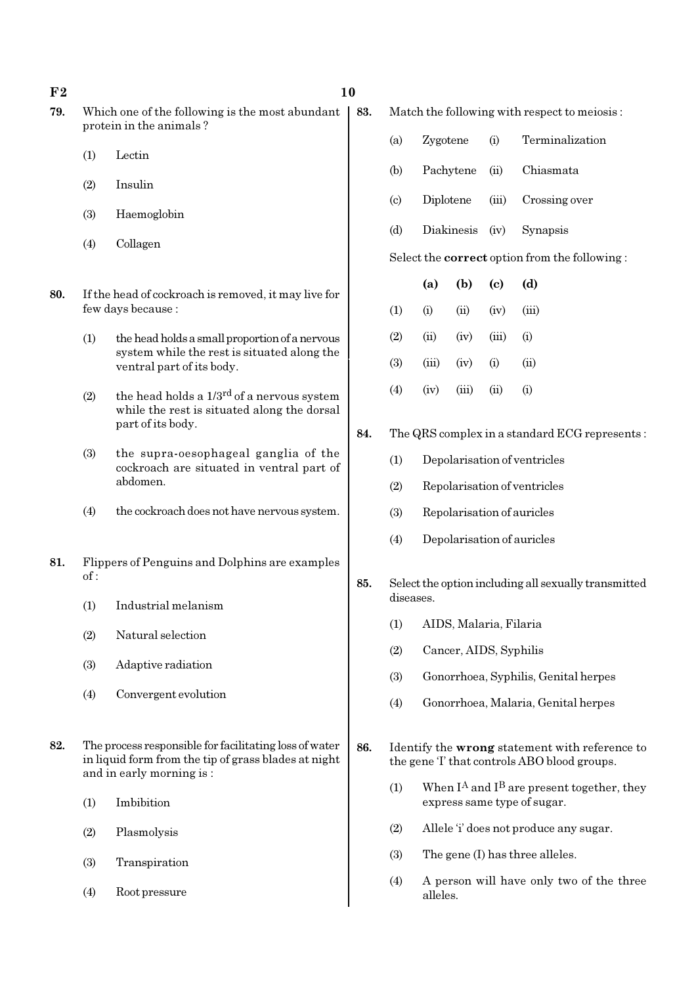### $F2$  and  $F2$  and  $F3$  and  $F4$  and  $F5$  and  $F6$  and  $F6$  and  $F6$  and  $F6$  and  $F6$  and  $F6$  and  $F6$  and  $F6$  and  $F6$  and  $F6$  and  $F6$  and  $F6$  and  $F6$  and  $F6$  and  $F6$  and  $F6$  and  $F6$  and  $F6$  and  $F6$  and  $F6$

- 79. Which one of the following is the most abundant protein in the animals ?
	- (1) Lectin
	- (2) Insulin
	- (3) Haemoglobin
	- (4) Collagen
- 80. If the head of cockroach is removed, it may live for few days because :
	- (1) the head holds a small proportion of a nervous system while the rest is situated along the ventral part of its body.
	- (2) the head holds a  $1/3^{rd}$  of a nervous system while the rest is situated along the dorsal part of its body.
	- (3) the supra-oesophageal ganglia of the cockroach are situated in ventral part of abdomen.
	- (4) the cockroach does not have nervous system.
- 81. Flippers of Penguins and Dolphins are examples of :
	- (1) Industrial melanism
	- (2) Natural selection
	- (3) Adaptive radiation
	- (4) Convergent evolution
- 82. The process responsible for facilitating loss of water in liquid form from the tip of grass blades at night and in early morning is :
	- (1) Imbibition
	- (2) Plasmolysis
	- (3) Transpiration
	- (4) Root pressure

83. Match the following with respect to meiosis :

- (a) Zygotene (i) Terminalization
- (b) Pachytene (ii) Chiasmata
- (c) Diplotene (iii) Crossing over
- (d) Diakinesis (iv) Synapsis

Select the correct option from the following :

|                   | (a)   | (b)   | $\left( \mathrm{c} \right)$ | (d)   |
|-------------------|-------|-------|-----------------------------|-------|
| $\left(1\right)$  | (i)   | (ii)  | (iv)                        | (iii) |
| $\left( 2\right)$ | (ii)  | (iv)  | (iii)                       | (i)   |
| (3)               | (iii) | (iv)  | (i)                         | (ii)  |
| $\left( 4\right)$ | (iv)  | (iii) | $\overline{u}$              | (i)   |

- 84. The QRS complex in a standard ECG represents :
	- (1) Depolarisation of ventricles
	- (2) Repolarisation of ventricles
	- (3) Repolarisation of auricles
	- (4) Depolarisation of auricles
- 85. Select the option including all sexually transmitted diseases.
	- (1) AIDS, Malaria, Filaria
	- (2) Cancer, AIDS, Syphilis
	- (3) Gonorrhoea, Syphilis, Genital herpes
	- (4) Gonorrhoea, Malaria, Genital herpes
- 86. Identify the wrong statement with reference to the gene 'I' that controls ABO blood groups.
	- (1) When  $I^A$  and  $I^B$  are present together, they express same type of sugar.
	- (2) Allele 'i' does not produce any sugar.
	- (3) The gene (I) has three alleles.
	- (4) A person will have only two of the three alleles.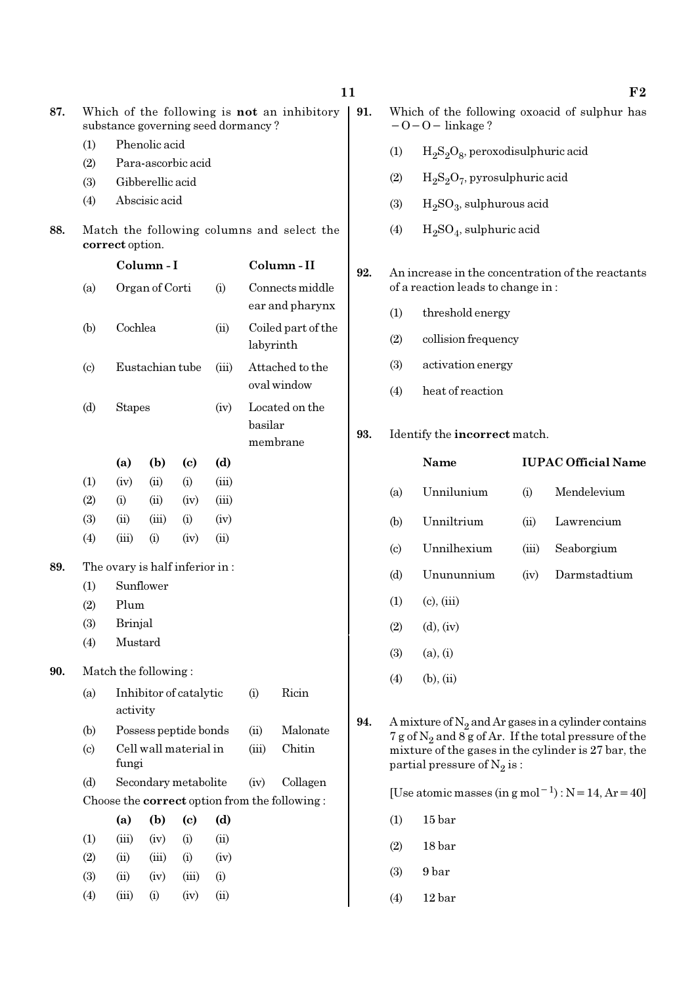|     |                            |                                |                  |                             |             |                                                      |                                               | 11  |                        |                                                                                        |       | ${\bf F2}$                                                                                                         |
|-----|----------------------------|--------------------------------|------------------|-----------------------------|-------------|------------------------------------------------------|-----------------------------------------------|-----|------------------------|----------------------------------------------------------------------------------------|-------|--------------------------------------------------------------------------------------------------------------------|
| 87. |                            |                                |                  |                             |             | substance governing seed dormancy?                   | Which of the following is not an inhibitory   | 91. |                        | $-0-0$ – linkage?                                                                      |       | Which of the following oxoacid of sulphur has                                                                      |
|     | (1)                        | Phenolic acid                  |                  |                             |             |                                                      |                                               |     | (1)                    | $H_2S_2O_8$ , peroxodisulphuric acid                                                   |       |                                                                                                                    |
|     | (2)                        |                                |                  | Para-ascorbic acid          |             |                                                      |                                               |     | (2)                    | $H_2S_2O_7$ , pyrosulphuric acid                                                       |       |                                                                                                                    |
|     | (3)                        |                                | Gibberellic acid |                             |             |                                                      |                                               |     |                        |                                                                                        |       |                                                                                                                    |
|     | (4)                        |                                | Abscisic acid    |                             |             |                                                      |                                               |     | (3)                    | $H_2SO_3$ , sulphurous acid                                                            |       |                                                                                                                    |
| 88. |                            | correct option.                |                  |                             |             |                                                      | Match the following columns and select the    |     | (4)                    | $H2SO4$ , sulphuric acid                                                               |       |                                                                                                                    |
|     |                            |                                | Column-I         |                             |             |                                                      | Column-II                                     | 92. |                        |                                                                                        |       |                                                                                                                    |
|     | (a)                        |                                | Organ of Corti   |                             | (i)         |                                                      | Connects middle                               |     |                        | An increase in the concentration of the reactants<br>of a reaction leads to change in: |       |                                                                                                                    |
|     |                            |                                |                  |                             |             |                                                      | ear and pharynx                               |     | (1)                    | threshold energy                                                                       |       |                                                                                                                    |
|     | (b)                        | Cochlea                        |                  |                             | (ii)        |                                                      | Coiled part of the<br>labyrinth               |     | (2)                    | collision frequency                                                                    |       |                                                                                                                    |
|     | $\left( \mathrm{c}\right)$ |                                | Eustachian tube  |                             | (iii)       |                                                      | Attached to the                               |     | (3)                    | activation energy                                                                      |       |                                                                                                                    |
|     |                            |                                |                  |                             |             | oval window<br>Located on the<br>basilar<br>membrane |                                               |     | (4)                    | heat of reaction                                                                       |       |                                                                                                                    |
|     | (d)                        | <b>Stapes</b>                  |                  |                             | (iv)        |                                                      |                                               | 93. |                        | Identify the incorrect match.                                                          |       |                                                                                                                    |
|     |                            | (a)                            | (b)              | $\left( \mathrm{c}\right)$  | (d)         |                                                      |                                               |     |                        | Name                                                                                   |       | <b>IUPAC Official Name</b>                                                                                         |
|     | (1)                        | (iv)                           | (ii)             | (i)                         | (iii)       |                                                      |                                               |     |                        |                                                                                        |       |                                                                                                                    |
|     | (2)                        | (i)                            | (ii)             | (iv)                        | (iii)       |                                                      |                                               |     | (a)                    | Unnilunium                                                                             | (i)   | Mendelevium                                                                                                        |
|     | (3)                        | (ii)                           | (iii)            | (i)                         | (iv)        |                                                      |                                               |     | (b)                    | Unniltrium                                                                             | (ii)  | Lawrencium                                                                                                         |
|     | (4)                        | (iii)                          | (i)              | (iv)                        | (ii)        |                                                      |                                               |     | $\left( \circ \right)$ | Unnilhexium                                                                            | (iii) | Seaborgium                                                                                                         |
| 89. |                            | The ovary is half inferior in: |                  |                             |             |                                                      |                                               |     |                        |                                                                                        |       |                                                                                                                    |
|     | (1)                        |                                | Sunflower        |                             |             |                                                      |                                               |     | (d)                    | Unununnium                                                                             | (iv)  | Darmstadtium                                                                                                       |
|     | (2)                        | Plum                           |                  |                             |             |                                                      |                                               |     | (1)                    | $(c)$ , $(iii)$                                                                        |       |                                                                                                                    |
|     | (3)                        | Brinjal                        |                  |                             |             |                                                      |                                               |     | (2)                    | $(d)$ , $(iv)$                                                                         |       |                                                                                                                    |
|     | (4)                        | Mustard                        |                  |                             |             |                                                      |                                               |     | (3)                    | (a), (i)                                                                               |       |                                                                                                                    |
| 90. |                            | Match the following:           |                  |                             |             |                                                      |                                               |     |                        |                                                                                        |       |                                                                                                                    |
|     | (a)                        | activity                       |                  | Inhibitor of catalytic      |             | (i)                                                  | Ricin                                         |     | (4)                    | $(b)$ , $(ii)$                                                                         |       |                                                                                                                    |
|     | (b)                        |                                |                  | Possess peptide bonds       |             | (ii)                                                 | Malonate                                      | 94. |                        |                                                                                        |       | A mixture of $N_2$ and Ar gases in a cylinder contains<br>7 g of $N_2$ and 8 g of Ar. If the total pressure of the |
|     | $\left( \text{c} \right)$  | fungi                          |                  | Cell wall material in       |             | (iii)                                                | Chitin                                        |     |                        | partial pressure of $N_2$ is:                                                          |       | mixture of the gases in the cylinder is 27 bar, the                                                                |
|     | (d)                        |                                |                  | Secondary metabolite        |             | (iv)                                                 | Collagen                                      |     |                        |                                                                                        |       | [Use atomic masses (in g mol <sup>-1</sup> ) : $N = 14$ , Ar = 40]                                                 |
|     |                            |                                |                  |                             |             |                                                      | Choose the correct option from the following: |     |                        |                                                                                        |       |                                                                                                                    |
|     |                            | (a)                            | (b)              | $\left( \mathbf{c} \right)$ | (d)         |                                                      |                                               |     | (1)                    | 15 bar                                                                                 |       |                                                                                                                    |
|     | (1)                        | (iii)                          | (iv)             | (i)                         | (ii)        |                                                      |                                               |     | (2)                    | 18 bar                                                                                 |       |                                                                                                                    |
|     | (2)                        | (ii)                           | (iii)            | (i)                         | (iv)        |                                                      |                                               |     | (3)                    | 9 bar                                                                                  |       |                                                                                                                    |
|     | (3)<br>(4)                 | (ii)<br>(iii)                  | (iv)<br>(i)      | (iii)<br>(iv)               | (i)<br>(ii) |                                                      |                                               |     |                        |                                                                                        |       |                                                                                                                    |
|     |                            |                                |                  |                             |             |                                                      |                                               |     | (4)                    | 12 <sub>bar</sub>                                                                      |       |                                                                                                                    |

- disulphuric acid
- ulphuric acid
- ous acid
- ric acid

- (1) threshold energy
- 1cy
- 

### $:$  t match.

|                                                                                                                                                                                                            | Name            |       | <b>IUPAC Official Name</b> |  |  |
|------------------------------------------------------------------------------------------------------------------------------------------------------------------------------------------------------------|-----------------|-------|----------------------------|--|--|
| (a)                                                                                                                                                                                                        | Unnilunium      | (i)   | Mendelevium                |  |  |
| (b)                                                                                                                                                                                                        | Unniltrium      | (ii)  | Lawrencium                 |  |  |
| $\left( \mathrm{c}\right)$                                                                                                                                                                                 | Unnilhexium     | (iii) | Seaborgium                 |  |  |
| (d)                                                                                                                                                                                                        | Unununnium      | (iv)  | Darmstadtium               |  |  |
| $\left(1\right)$                                                                                                                                                                                           | $(c)$ , $(iii)$ |       |                            |  |  |
| (2)                                                                                                                                                                                                        | $(d)$ , $(iv)$  |       |                            |  |  |
| (3)                                                                                                                                                                                                        | (a), (i)        |       |                            |  |  |
| (4)                                                                                                                                                                                                        | $(b)$ , $(ii)$  |       |                            |  |  |
| A mixture of $N_2$ and Ar gases in a cylinder contains<br>7 g of $N_2$ and 8 g of Ar. If the total pressure of the<br>mixture of the gases in the cylinder is 27 bar, the<br>partial pressure of $N_2$ is: |                 |       |                            |  |  |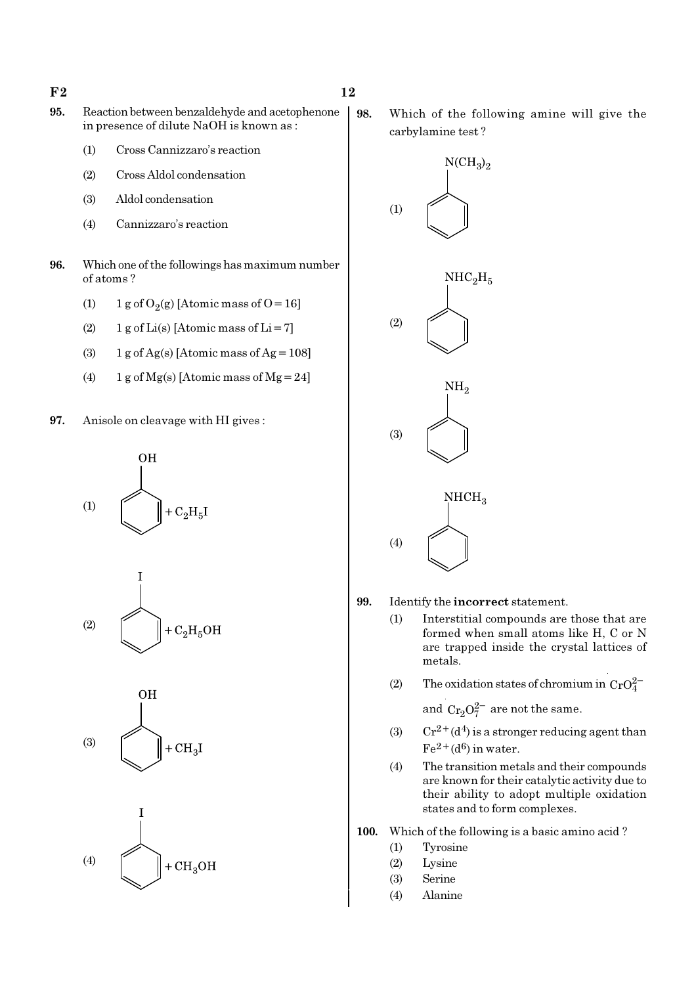$F2$  and  $12$ 

- 95. Reaction between benzaldehyde and acetophenone in presence of dilute NaOH is known as :
	- (1) Cross Cannizzaro's reaction
	- (2) Cross Aldol condensation
	- (3) Aldol condensation
	- (4) Cannizzaro's reaction
- 96. Which one of the followings has maximum number of atoms ?
	- (1) 1 g of  $O_2(g)$  [Atomic mass of O = 16]
	- (2) 1 g of  $Li(s)$  [Atomic mass of  $Li = 7$ ]
	- (3)  $1 g$  of Ag(s) [Atomic mass of Ag = 108]
	- (4) 1 g of Mg(s) [Atomic mass of Mg = 24]
- 97. Anisole on cleavage with HI gives :









98. Which of the following amine will give the carbylamine test ?



- 99. Identify the incorrect statement.
	- (1) Interstitial compounds are those that are formed when small atoms like H, C or N are trapped inside the crystal lattices of metals.
	- (2) The oxidation states of chromium in  $CrO_4^{2-}$

and  $Cr_2O_7^{2-}$  are not the same.

- (3) Cr<sup>2+</sup>(d<sup>4</sup>) is a stronger reducing agent than  $Fe<sup>2+</sup>(d<sup>6</sup>)$  in water.
- (4) The transition metals and their compounds are known for their catalytic activity due to their ability to adopt multiple oxidation states and to form complexes.

100. Which of the following is a basic amino acid ?

- (1) Tyrosine
- (2) Lysine
- (3) Serine
- (4) Alanine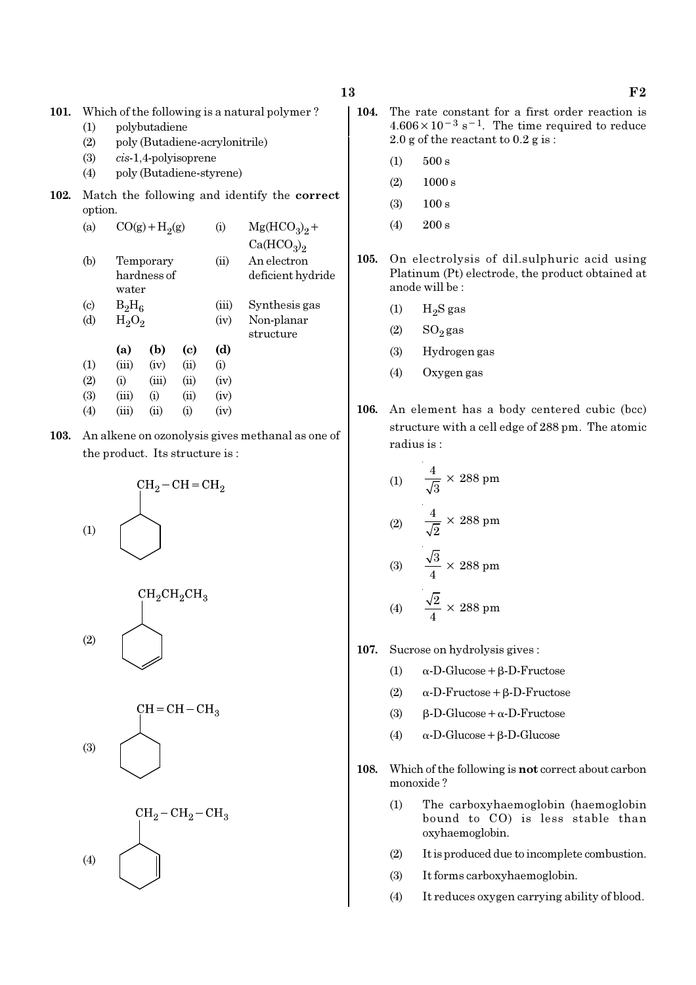- 101. Which of the following is a natural polymer ?
	- (1) polybutadiene
	- (2) poly (Butadiene-acrylonitrile)
	- (3) cis-1,4-polyisoprene
	- (4) poly (Butadiene-styrene)
- 102. Match the following and identify the correct option.

| (a)                       |          | $CO(g) + H2(g)$          |          | $\rm(i)$ | $Mg(HCO3)2 +$                      |
|---------------------------|----------|--------------------------|----------|----------|------------------------------------|
|                           |          |                          |          |          | Ca(HCO <sub>3</sub> ) <sub>2</sub> |
| (b)                       | water    | Temporary<br>hardness of |          | (ii)     | An electron<br>deficient hydride   |
| $\left( \text{c} \right)$ | $B_2H_6$ |                          |          | (iii)    | Synthesis gas                      |
| (d)                       | $H_2O_2$ |                          |          | (iv)     | Non-planar<br>structure            |
|                           | (a)      | (b)                      | (c)      | (d)      |                                    |
| (1)                       | (iii)    | (iv)                     | (ii)     | (i)      |                                    |
| (2)                       | (i)      | (iii)                    | (ii)     | (iv)     |                                    |
| (3)                       | (iii)    | $\rm(i)$                 | (ii)     | (iv)     |                                    |
| (4)                       | (iii)    | (i)                      | $\rm(i)$ | (iv)     |                                    |
|                           |          |                          |          |          |                                    |

103. An alkene on ozonolysis gives methanal as one of the product. Its structure is :









- $13 \t\t\t F2$ 
	- 104. The rate constant for a first order reaction is  $4.606 \times 10^{-3}$  s<sup>-1</sup>. The time required to reduce 2.0 g of the reactant to 0.2 g is :
		- $(1)$  500 s
		- $(2)$  1000 s
		- (3) 100 s
		- $(4)$  200 s
	- 105. On electrolysis of dil.sulphuric acid using Platinum (Pt) electrode, the product obtained at anode will be :
		- $(1)$  H<sub>2</sub>S gas
		- $(2)$  SO<sub>2</sub> gas
		- (3) Hydrogen gas
		- (4) Oxygen gas
	- 106. An element has a body centered cubic (bcc) structure with a cell edge of 288 pm. The atomic radius is :

(1) 
$$
\frac{4}{\sqrt{3}} \times 288 \text{ pm}
$$
  
(2) 
$$
\frac{4}{\sqrt{2}} \times 288 \text{ pm}
$$
  
(3) 
$$
\frac{\sqrt{3}}{4} \times 288 \text{ pm}
$$
  
(4) 
$$
\frac{\sqrt{2}}{4} \times 288 \text{ pm}
$$

- 107. Sucrose on hydrolysis gives :
	- (1)  $\alpha$ -D-Glucose + β-D-Fructose
	- (2) α-D-Fructose+β-D-Fructose
	- (3)  $β-D-Glucose + α-D-Fructose$
	- (4) α-D-Glucose+β-D-Glucose
- 108. Which of the following is not correct about carbon monoxide ?
	- (1) The carboxyhaemoglobin (haemoglobin bound to CO) is less stable than oxyhaemoglobin.
	- (2) It is produced due to incomplete combustion.
	- (3) It forms carboxyhaemoglobin.
	- (4) It reduces oxygen carrying ability of blood.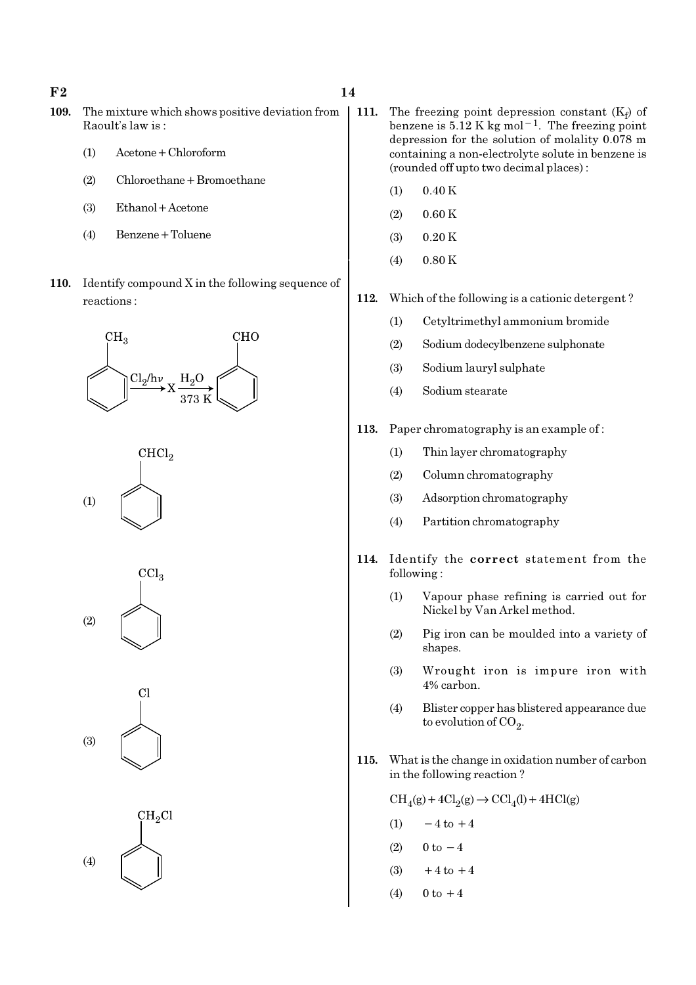$F2$  and  $14$ 

- 109. The mixture which shows positive deviation from Raoult's law is :
	- (1) Acetone+Chloroform
	- (2) Chloroethane+Bromoethane
	- (3) Ethanol+Acetone
	- (4) Benzene+Toluene
- 110. Identify compound X in the following sequence of reactions :





 $CCl<sub>3</sub>$ (2)





- 111. The freezing point depression constant  $(K_f)$  of benzene is  $5.12 \text{ K}$  kg mol<sup>-1</sup>. The freezing point depression for the solution of molality 0.078 m containing a non-electrolyte solute in benzene is (rounded off upto two decimal places) :
	- $(1)$  0.40 K
	- $(2)$  0.60 K
	- $(3)$  0.20 K
	- (4) 0.80 K
- 112. Which of the following is a cationic detergent ?
	- (1) Cetyltrimethyl ammonium bromide
	- (2) Sodium dodecylbenzene sulphonate
	- (3) Sodium lauryl sulphate
	- (4) Sodium stearate
- 113. Paper chromatography is an example of :
	- (1) Thin layer chromatography
	- (2) Column chromatography
	- (3) Adsorption chromatography
	- (4) Partition chromatography
- 114. Identify the correct statement from the following :
	- (1) Vapour phase refining is carried out for Nickel by Van Arkel method.
	- (2) Pig iron can be moulded into a variety of shapes.
	- (3) Wrought iron is impure iron with 4% carbon.
	- (4) Blister copper has blistered appearance due to evolution of CO<sub>2</sub>.
- 115. What is the change in oxidation number of carbon in the following reaction ?

 $\text{CH}_4(g) + 4\text{Cl}_2(g) \rightarrow \text{CCl}_4(l) + 4\text{HCl}(g)$ 

- (1)  $-4$  to  $+4$
- (2)  $0 \text{ to } -4$
- (3)  $+4$  to  $+4$
- (4)  $0 \text{ to } +4$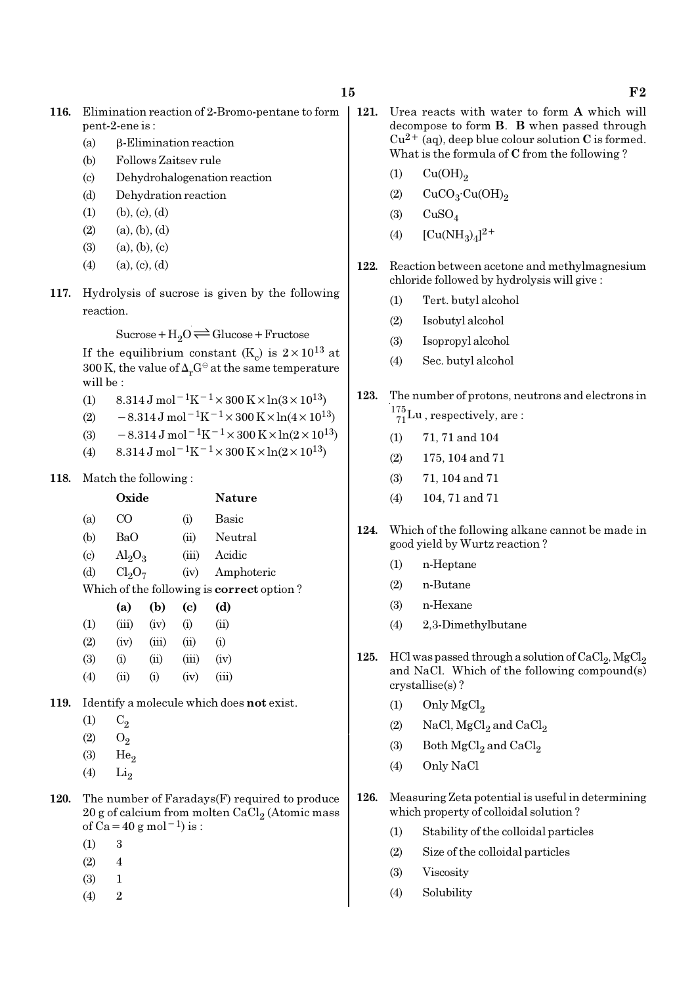- 116. Elimination reaction of 2-Bromo-pentane to form pent-2-ene is :
	- (a) β-Elimination reaction
	- (b) Follows Zaitsev rule
	- (c) Dehydrohalogenation reaction
	- (d) Dehydration reaction
	- $(1)$   $(b), (c), (d)$
	- $(2)$   $(a), (b), (d)$
	- $(3)$   $(a), (b), (c)$
	- $(4)$   $(a), (c), (d)$
- 117. Hydrolysis of sucrose is given by the following reaction.

 $Sucrose+H_2O \rightleftharpoons Glucose+Fructose$ 

If the equilibrium constant (K<sub>c</sub>) is  $2 \times 10^{13}$  at 300 K, the value of  $\Delta_r G^\ominus$  at the same temperature will be :

- (1)  $8.314 \text{ J mol}^{-1}\text{K}^{-1} \times 300 \text{ K} \times \ln(3 \times 10^{13})$
- (2)  $-8.314 \text{ J mol}^{-1} \text{K}^{-1} \times 300 \text{ K} \times \ln(4 \times 10^{13})$
- (3)  $-8.314 \,\mathrm{J} \,\mathrm{mol}^{-1} \mathrm{K}^{-1} \times 300 \,\mathrm{K} \times \ln(2 \times 10^{13})$
- (4) 8.314 J mol<sup>-1</sup>K<sup>-1</sup> × 300 K × ln(2 × 10<sup>13</sup>)
- 118. Match the following :

|                   | Oxide                   |                                |       | <b>Nature</b>                                    |
|-------------------|-------------------------|--------------------------------|-------|--------------------------------------------------|
| (a)               | CO                      |                                |       | Basic                                            |
| (b)               | BaO                     |                                | (ii)  | Neutral                                          |
| $\left( c\right)$ | $\text{Al}_2\text{O}_3$ |                                | (iii) | Acidic                                           |
| (d)               |                         | Cl <sub>2</sub> O <sub>7</sub> |       | (iv)<br>Amphoteric                               |
|                   |                         |                                |       | Which of the following is <b>correct</b> option? |
|                   | (a)                     | (b)                            | (c)   | (d)                                              |
| (1)               | (iii)                   | (iv)                           | (i)   | (ii)                                             |
| (2)               | (iv)                    | (iii)                          | (ii)  | (i)                                              |
| (3)               | (i)                     | (ii)                           | (iii) | (iv)                                             |
| (4)               | (ii)                    | (i)                            | (iv)  | (iii)                                            |
|                   |                         |                                |       |                                                  |

- 119. Identify a molecule which does not exist.
	- $(1)$   $C_2$
	- $(2)$   $O_2$
	- $(3)$  He<sub>2</sub>
	- $(4)$  Li<sub>2</sub>
- 120. The number of Faradays(F) required to produce  $20$  g of calcium from molten CaCl $_2$  (Atomic mass of Ca=40 g mol<sup>-1</sup>) is :
	- (1) 3
	- $(2) 4$
	- $(3) 1$
	- $(4)$  2
- 121. Urea reacts with water to form A which will decompose to form B. B when passed through  $Cu^{2+}$  (aq), deep blue colour solution C is formed. What is the formula of C from the following ?
	- $(1)$   $Cu(OH)<sub>2</sub>$
	- (2)  $CuCO<sub>3</sub>·Cu(OH)<sub>2</sub>$
	- $(3)$  CuSO<sub>4</sub>
	- (4)  $[Cu(NH_3)_4]^{2+}$
- 122. Reaction between acetone and methylmagnesium chloride followed by hydrolysis will give :
	- (1) Tert. butyl alcohol
	- (2) Isobutyl alcohol
	- (3) Isopropyl alcohol
	- (4) Sec. butyl alcohol
- 123. The number of protons, neutrons and electrons in  $^{175}_{71}$ Lu, respectively, are:
	- (1) 71, 71 and 104
	- (2) 175, 104 and 71
	- (3) 71, 104 and 71
	- (4) 104, 71 and 71
- 124. Which of the following alkane cannot be made in good yield by Wurtz reaction ?
	- (1) n-Heptane
	- (2) n-Butane
	- (3) n-Hexane
	- (4) 2,3-Dimethylbutane
- 125. HCl was passed through a solution of  $\mathrm{CaCl}_2$ ,  $\mathrm{MgCl}_2$ and NaCl. Which of the following compound(s) crystallise(s) ?
	- (1) Only  $MgCl<sub>2</sub>$
	- (2) NaCl,  $MgCl<sub>2</sub>$  and  $CaCl<sub>2</sub>$
	- (3) Both  $\mathrm{MgCl}_2$  and  $\mathrm{CaCl}_2$
	- (4) Only NaCl
- 126. Measuring Zeta potential is useful in determining which property of colloidal solution ?
	- (1) Stability of the colloidal particles
	- (2) Size of the colloidal particles
	- (3) Viscosity
	- (4) Solubility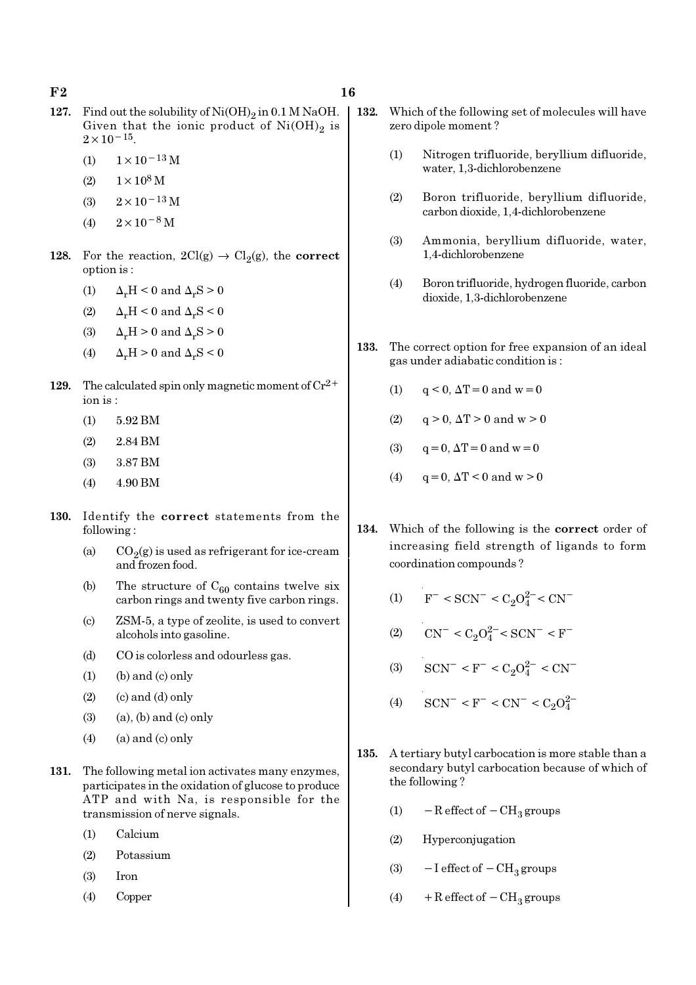$F2$  and  $F3$  16

- 127. Find out the solubility of  $Ni(OH)_2$  in 0.1 M NaOH. Given that the ionic product of  $Ni(OH)_2$  is  $2 \times 10^{-15}$ .
	- (1)  $1 \times 10^{-13}$  M
	- (2)  $1 \times 10^8$  M
	- (3)  $2 \times 10^{-13}$  M
	- (4)  $2 \times 10^{-8}$  M
- 128. For the reaction,  $2Cl(g) \rightarrow Cl_2(g)$ , the correct option is :
	- (1)  $\Delta_r H \leq 0$  and  $\Delta_r S \geq 0$
	- (2)  $\Delta_r H < 0$  and  $\Delta_r S < 0$
	- (3)  $\Delta_r H > 0$  and  $\Delta_r S > 0$
	- (4)  $\Delta_r H > 0$  and  $\Delta_r S < 0$
- 129. The calculated spin only magnetic moment of  $\text{Cr}^{2+}$ ion is :
	- (1) 5.92 BM
	- (2) 2.84 BM
	- (3) 3.87 BM
	- $(4)$  4.90 BM
- 130. Identify the correct statements from the following :
	- (a)  $CO_2(g)$  is used as refrigerant for ice-cream and frozen food.
	- (b) The structure of  $C_{60}$  contains twelve six carbon rings and twenty five carbon rings.
	- (c) ZSM-5, a type of zeolite, is used to convert alcohols into gasoline.
	- (d) CO is colorless and odourless gas.
	- $(1)$  (b) and  $(c)$  only
	- $(2)$   $($ c $)$  and  $(d)$  only
	- $(3)$   $(a)$ ,  $(b)$  and  $(c)$  only
	- $(4)$  (a) and (c) only
- 131. The following metal ion activates many enzymes, participates in the oxidation of glucose to produce ATP and with Na, is responsible for the transmission of nerve signals.
	- (1) Calcium
	- (2) Potassium
	- (3) Iron
	- (4) Copper
- 132. Which of the following set of molecules will have zero dipole moment ?
	- (1) Nitrogen trifluoride, beryllium difluoride, water, 1,3-dichlorobenzene
	- (2) Boron trifluoride, beryllium difluoride, carbon dioxide, 1,4-dichlorobenzene
	- (3) Ammonia, beryllium difluoride, water, 1,4-dichlorobenzene
	- (4) Boron trifluoride, hydrogen fluoride, carbon dioxide, 1,3-dichlorobenzene
- 133. The correct option for free expansion of an ideal gas under adiabatic condition is :
	- (1)  $q < 0$ ,  $\Delta T = 0$  and  $w = 0$
	- (2)  $q > 0$ ,  $\Delta T > 0$  and  $w > 0$
	- (3)  $q = 0, \Delta T = 0$  and  $w = 0$
	- (4)  $q = 0$ ,  $\Delta T < 0$  and  $w > 0$
- 134. Which of the following is the correct order of increasing field strength of ligands to form coordination compounds ?
	- (1)  $F^- < \text{SCN}^- < C_2 O_4^{2-} < \text{CN}^-$
	- (2)  $CN^- < C_2O_4^{2-} < SCN^- < F^-$
	- (3)  $\text{SCN}^- \leq F^- \leq C_2 O_4^{2-} \leq \text{CN}^-$
	- (4)  $\text{SCN}^- < \text{F}^- < \text{CN}^- < C_2 O_4^2$
- 135. A tertiary butyl carbocation is more stable than a secondary butyl carbocation because of which of the following ?
	- (1)  $-$  R effect of  $-$  CH<sub>3</sub> groups
	- (2) Hyperconjugation
	- (3)  $-I$  effect of  $-CH<sub>3</sub>$  groups
	- (4) + R effect of  $-CH<sub>3</sub>$  groups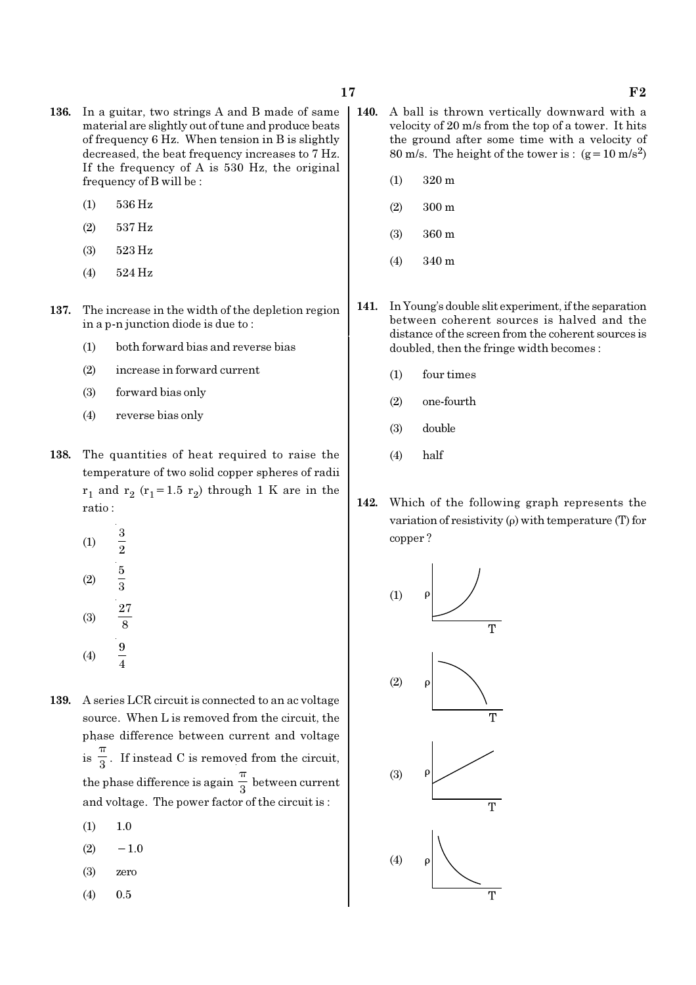- 136. In a guitar, two strings A and B made of same material are slightly out of tune and produce beats of frequency 6 Hz. When tension in B is slightly decreased, the beat frequency increases to 7 Hz. If the frequency of A is 530 Hz, the original frequency of B will be :
	- (1) 536 Hz
	- (2) 537 Hz
	- (3) 523 Hz
	- (4) 524 Hz
- 137. The increase in the width of the depletion region in a p-n junction diode is due to :
	- (1) both forward bias and reverse bias
	- (2) increase in forward current
	- (3) forward bias only
	- (4) reverse bias only
- 138. The quantities of heat required to raise the temperature of two solid copper spheres of radii  $r_1$  and  $r_2$  ( $r_1$ =1.5  $r_2$ ) through 1 K are in the ratio :
	- (1) 3 2 (2) 5 3 27
	- (3) 8 (4)  $\frac{9}{4}$
- 139. A series LCR circuit is connected to an ac voltage source. When L is removed from the circuit, the phase difference between current and voltage  $is \frac{1}{3}$ π . If instead C is removed from the circuit, the phase difference is again  $\frac{1}{3}$ π between current and voltage. The power factor of the circuit is :
	- $(1)$  1.0
	- $(2)$  −1.0
	- (3) zero
	- (4) 0.5
- 140. A ball is thrown vertically downward with a velocity of 20 m/s from the top of a tower. It hits the ground after some time with a velocity of 80 m/s. The height of the tower is :  $(g=10 \text{ m/s}^2)$ 
	- (1) 320 m
	- (2) 300 m
	- (3) 360 m
	- (4) 340 m
- 141. In Young's double slit experiment, if the separation between coherent sources is halved and the distance of the screen from the coherent sources is doubled, then the fringe width becomes :
	- (1) four times
	- (2) one-fourth
	- (3) double
	- (4) half
- 142. Which of the following graph represents the variation of resistivity  $(\rho)$  with temperature (T) for copper ?

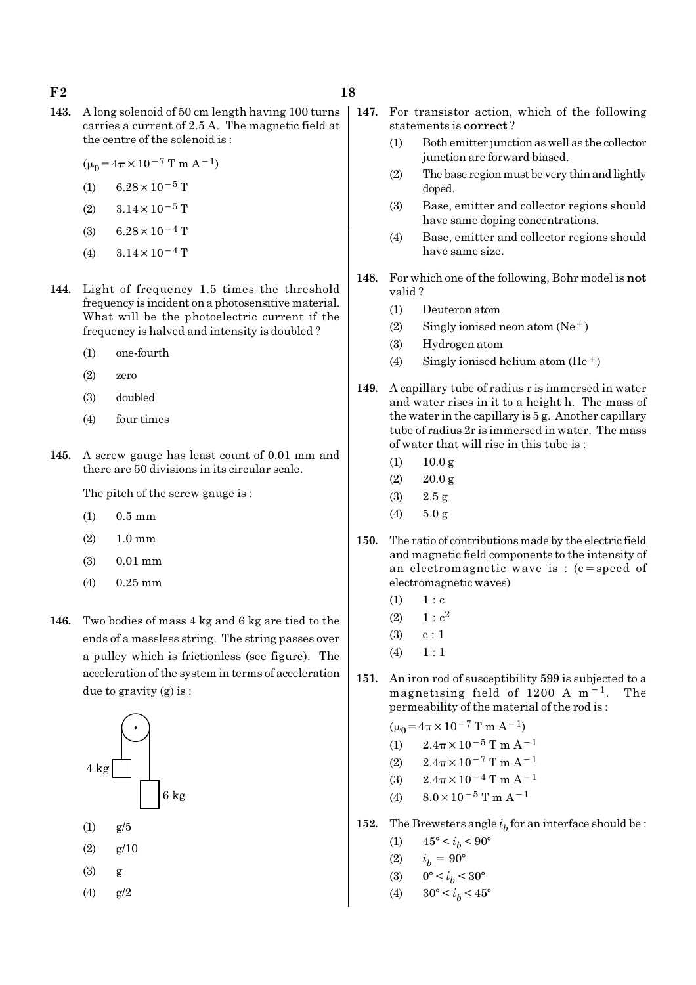- 143. A long solenoid of 50 cm length having 100 turns carries a current of 2.5 A. The magnetic field at the centre of the solenoid is :
	- $(\mu_0 = 4\pi \times 10^{-7} \text{ T m A}^{-1})$
	- (1) 6.28 $\times$ 10<sup>-5</sup> T
	- (2)  $3.14 \times 10^{-5}$  T
	- (3) 6.28 $\times$ 10<sup>-4</sup> T
	- (4)  $3.14 \times 10^{-4}$  T
- 144. Light of frequency 1.5 times the threshold frequency is incident on a photosensitive material. What will be the photoelectric current if the frequency is halved and intensity is doubled ?
	- (1) one-fourth
	- (2) zero
	- (3) doubled
	- (4) four times
- 145. A screw gauge has least count of 0.01 mm and there are 50 divisions in its circular scale.

The pitch of the screw gauge is :

- (1) 0.5 mm
- (2) 1.0 mm
- (3) 0.01 mm
- (4) 0.25 mm
- 146. Two bodies of mass 4 kg and 6 kg are tied to the ends of a massless string. The string passes over a pulley which is frictionless (see figure). The acceleration of the system in terms of acceleration due to gravity (g) is :



- $(1)$  g/5
- $(2)$  g/10
- (3) g

(4) g/2

- 147. For transistor action, which of the following statements is correct ?
	- (1) Both emitter junction as well as the collector junction are forward biased.
	- (2) The base region must be very thin and lightly doped.
	- (3) Base, emitter and collector regions should have same doping concentrations.
	- (4) Base, emitter and collector regions should have same size.
- 148. For which one of the following, Bohr model is not valid ?
	- (1) Deuteron atom
	- (2) Singly ionised neon atom  $(Ne^+)$
	- (3) Hydrogen atom
	- (4) Singly ionised helium atom  $(He<sup>+</sup>)$
- 149. A capillary tube of radius r is immersed in water and water rises in it to a height h. The mass of the water in the capillary is 5 g. Another capillary tube of radius 2r is immersed in water. The mass of water that will rise in this tube is :
	- $(1)$  10.0 g
	- $(2)$  20.0 g
	- (3) 2.5 g
	- (4)  $5.0 \text{ g}$
- 150. The ratio of contributions made by the electric field and magnetic field components to the intensity of an electromagnetic wave is : (c=speed of electromagnetic waves)
	- $(1) 1 : c$
	- (2)  $1 : c^2$
	- $(3)$  c : 1
	- $(4) \quad 1 : 1$
- 151. An iron rod of susceptibility 599 is subjected to a magnetising field of 1200 A m<sup>-1</sup>. The permeability of the material of the rod is :

 $(\mu_0 = 4\pi \times 10^{-7} \text{ T m A}^{-1})$ 

- (1)  $2.4\pi \times 10^{-5}$  T m A<sup>-1</sup> (2)  $2.4\pi \times 10^{-7}$  T m A<sup>-1</sup>
- (3)  $2.4\pi \times 10^{-4}$  T m A<sup>-1</sup>
- (4)  $8.0 \times 10^{-5}$  T m A<sup>-1</sup>
- **152.** The Brewsters angle  $i<sub>b</sub>$  for an interface should be :
	- (1)  $45^{\circ} < i_b < 90^{\circ}$
	- (2)  $i_b = 90^{\circ}$
	- (3)  $0^{\circ} < i_b < 30^{\circ}$
	- (4)  $30^{\circ} < i_b < 45^{\circ}$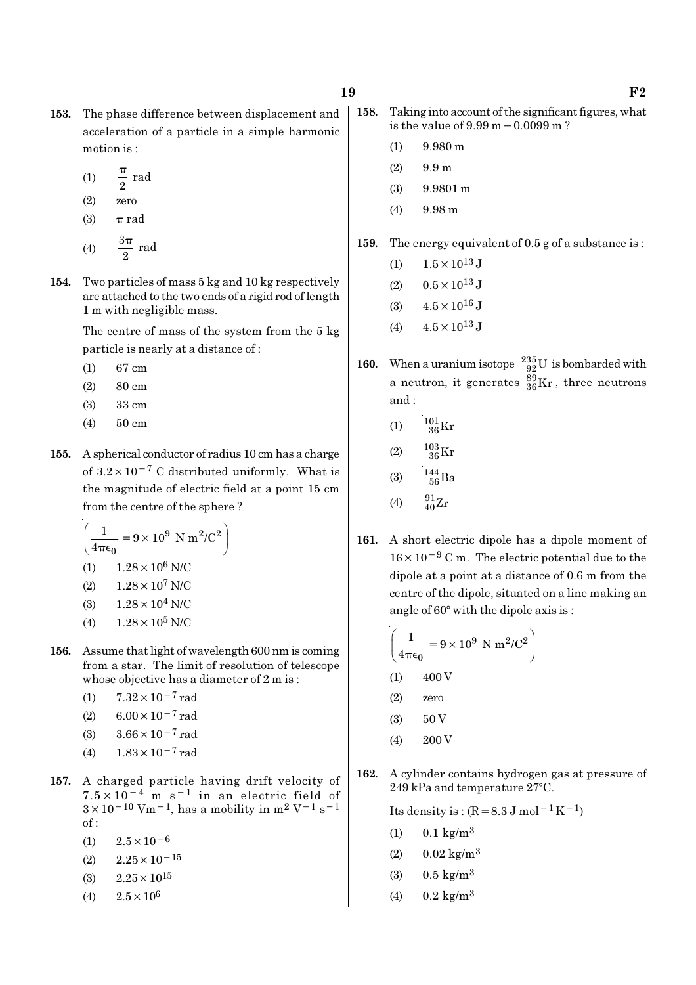- 153. The phase difference between displacement and acceleration of a particle in a simple harmonic motion is :
	- (1)  $\frac{\pi}{2}$  rad π
	- (2) zero
	- (3)  $\pi$  rad
	- (4)  $\frac{3\pi}{2}$  rad π
- 154. Two particles of mass 5 kg and 10 kg respectively are attached to the two ends of a rigid rod of length 1 m with negligible mass.

The centre of mass of the system from the 5 kg particle is nearly at a distance of :

- $(1)$  67 cm
- $(2)$  80 cm
- (3) 33 cm
- (4) 50 cm
- 155. A spherical conductor of radius 10 cm has a charge of  $3.2 \times 10^{-7}$  C distributed uniformly. What is the magnitude of electric field at a point 15 cm from the centre of the sphere ?

$$
\left(\frac{1}{4\pi\epsilon_0} = 9 \times 10^9 \text{ N m}^2/\text{C}^2\right)
$$
  
(1) 1.28 × 10<sup>6</sup> N/C

(2) 
$$
1.28 \times 10^7
$$
 N/C

- (3)  $1.28 \times 10^4$  N/C
- (4)  $1.28 \times 10^5$  N/C
- 156. Assume that light of wavelength 600 nm is coming from a star. The limit of resolution of telescope whose objective has a diameter of 2 m is :
	- (1)  $7.32 \times 10^{-7}$  rad
	- (2) 6.00 $\times$ 10<sup>-7</sup> rad
	- (3) 3.66×10−7 rad
	- (4)  $1.83 \times 10^{-7}$  rad
- 157. A charged particle having drift velocity of  $7.5 \times 10^{-4}$  m s<sup>-1</sup> in an electric field of  $3 \times 10^{-10}$  Vm<sup>-1</sup>, has a mobility in m<sup>2</sup> V<sup>-1</sup> s<sup>-1</sup> of :
	- $(1)$  2.5×10<sup>-6</sup>
	- $(2)$  2.25×10<sup>-15</sup>
	- (3)  $2.25 \times 10^{15}$
	- (4)  $2.5 \times 10^6$
- 158. Taking into account of the significant figures, what is the value of 9.99 m−0.0099 m ?
	- (1) 9.980 m
	- $(2)$  9.9 m
	- (3) 9.9801 m
	- (4) 9.98 m

159. The energy equivalent of 0.5 g of a substance is :

- (1)  $1.5 \times 10^{13}$  J
- (2)  $0.5 \times 10^{13}$  J
- (3)  $4.5 \times 10^{16}$  J
- (4)  $4.5 \times 10^{13}$  J
- **160.** When a uranium isotope  $^{235}_{92}$ U is bombarded with a neutron, it generates  $^{89}_{36}\text{Kr}$  , three neutrons and :
	- (1)  $\frac{101}{36}$ Kr
	- (2)  $\frac{103}{36}$ Kr
	- (3)  $\frac{144}{56}Ba$
	- (4)  $\frac{91}{40}Zr$
- 161. A short electric dipole has a dipole moment of 16×10−<sup>9</sup> C m. The electric potential due to the dipole at a point at a distance of 0.6 m from the centre of the dipole, situated on a line making an angle of  $60^{\circ}$  with the dipole axis is :

$$
\left(\frac{1}{4\pi\epsilon_0} = 9 \times 10^9 \text{ N m}^2/\text{C}^2\right)
$$
  
(1) 400 V

- (2) zero
- $(3)$  50 V
- (4) 200 V
- 162. A cylinder contains hydrogen gas at pressure of  $249$  kPa and temperature  $27^{\circ}$ C.

Its density is :  $(R=8.3 \text{ J mol}^{-1}\text{ K}^{-1})$ 

- (1)  $0.1 \text{ kg/m}^3$
- (2)  $0.02 \text{ kg/m}^3$
- (3)  $0.5 \text{ kg/m}^3$
- (4)  $0.2 \text{ kg/m}^3$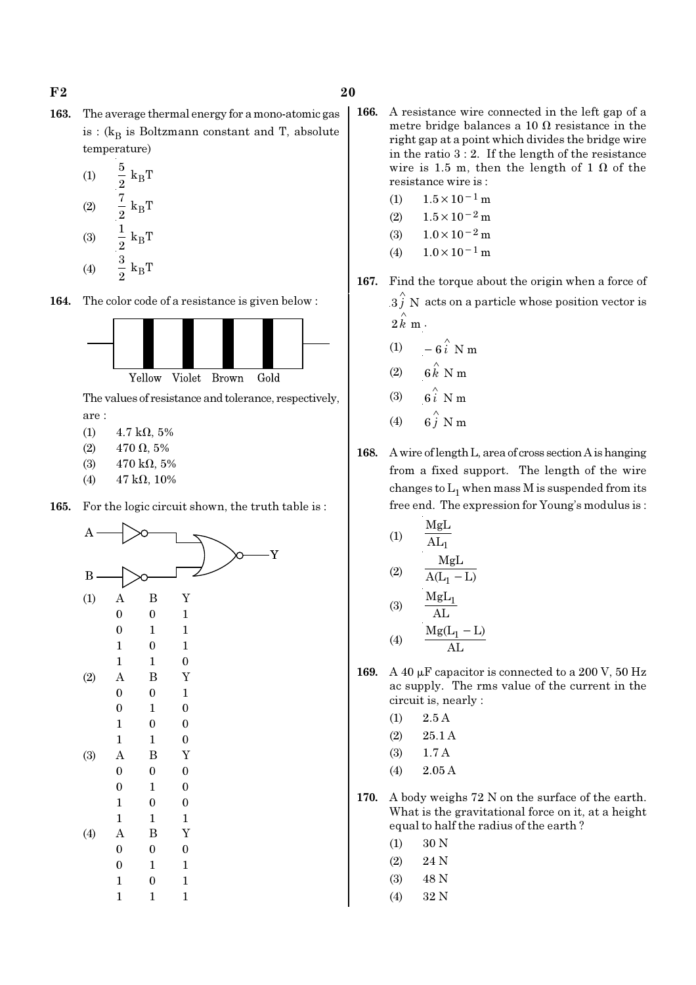- 163. The average thermal energy for a mono-atomic gas is : ( $k_B$  is Boltzmann constant and T, absolute temperature)
	- (1)  $\frac{3}{8}$  k<sub>B</sub>  $\frac{5}{2}$  k<sub>B</sub>T  $(2)$   $\frac{\cdot}{2}$  k<sub>B</sub>  $\frac{7}{2} k_B T$ (3)  $\frac{1}{2}$  k<sub>B</sub>  $\frac{1}{2} k_B T$
	- (4)  $\frac{3}{2}$  k<sub>B</sub>  $\frac{3}{2}$  k<sub>B</sub>T

164. The color code of a resistance is given below :



The values of resistance and tolerance, respectively, are :

- (1)  $4.7 \text{ k}\Omega$ , 5%
- (2)  $470 \Omega, 5\%$
- (3)  $470 \text{ k}\Omega, 5\%$
- (4)  $47 k\Omega$ , 10%
- 165. For the logic circuit shown, the truth table is :



- 166. A resistance wire connected in the left gap of a metre bridge balances a 10  $\Omega$  resistance in the right gap at a point which divides the bridge wire in the ratio  $3:2$ . If the length of the resistance wire is 1.5 m, then the length of 1  $\Omega$  of the resistance wire is :
	- (1)  $1.5 \times 10^{-1}$  m
	- (2)  $1.5 \times 10^{-2}$  m
	- (3)  $1.0 \times 10^{-2}$  m
	- (4)  $1.0 \times 10^{-1}$  m
- 167. Find the torque about the origin when a force of  $3 \hat{j}$  N acts on a particle whose position vector is  $2 \hat{k}$  m .
	- (1)  $-6\hat{i}$  N m
	- (2)  $6 \stackrel{\wedge}{k}$  N m
	- (3)  $6i$  N m
	- (4)  $6\hat{j}$  N m
- 168. A wire of length L, area of cross section A is hanging from a fixed support. The length of the wire changes to  $\mathrm{L}_1$  when mass M is suspended from its free end. The expression for Young's modulus is :

(1) 
$$
\frac{MgL}{AL_1}
$$
  
(2) 
$$
\frac{MgL}{A(L_1 - L)}
$$
  
(3) 
$$
\frac{MgL_1}{AL_1}
$$

$$
(4) \qquad \frac{\text{AL}}{\text{Mg}(L_1 - L)} \qquad (4)
$$

- 169. A 40  $\mu$ F capacitor is connected to a 200 V, 50 Hz ac supply. The rms value of the current in the circuit is, nearly :
	- $(1)$  2.5 A
	- (2) 25.1 A
	- (3) 1.7 A
	- (4) 2.05 A
- 170. A body weighs 72 N on the surface of the earth. What is the gravitational force on it, at a height equal to half the radius of the earth ?
	- (1) 30 N
	- (2) 24 N
	- (3) 48 N
	- (4) 32 N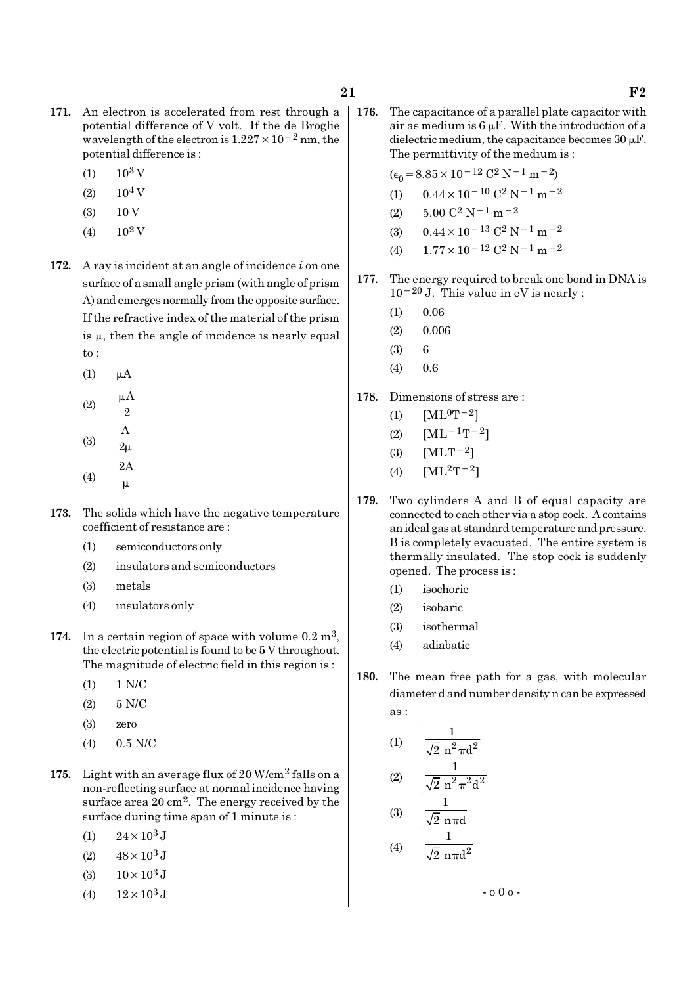- 171. An electron is accelerated from rest through a potential difference of V volt. If the de Broglie wavelength of the electron is  $1.227 \times 10^{-2}$  nm, the potential difference is :
	- $(1)$  10<sup>3</sup> V
	- $(2)$  10<sup>4</sup> V
	- $(3)$  10 V
	- (4)  $10^2$  V
- 172. A ray is incident at an angle of incidence  $i$  on one surface of a small angle prism (with angle of prism A) and emerges normally from the opposite surface. If the refractive index of the material of the prism is  $\mu$ , then the angle of incidence is nearly equal to :
	- $(1)$   $\mu$ A

(2) 
$$
\frac{\mu A}{2}
$$
  
\n(3)  $\frac{A}{2\mu}$   
\n(4)  $\frac{2A}{\mu}$ 

- 173. The solids which have the negative temperature coefficient of resistance are :
	- (1) semiconductors only
	- (2) insulators and semiconductors
	- (3) metals
	- (4) insulators only
- 174. In a certain region of space with volume  $0.2 \text{ m}^3$ . the electric potential is found to be 5 V throughout. The magnitude of electric field in this region is :
	- (1) 1 N/C
	- (2) 5 N/C
	- (3) zero
	- (4) 0.5 N/C
- 175. Light with an average flux of 20 W/cm2 falls on a non-reflecting surface at normal incidence having surface area 20 cm<sup>2</sup>. The energy received by the surface during time span of 1 minute is :
	- (1)  $24 \times 10^3$  J
	- (2)  $48 \times 10^3$  J
	- (3)  $10 \times 10^3$  J
	- (4)  $12 \times 10^3$  J

176. The capacitance of a parallel plate capacitor with air as medium is  $6 \mu$ F. With the introduction of a dielectric medium, the capacitance becomes  $30 \mu$ F. The permittivity of the medium is :

$$
(\epsilon_0 = 8.85 \times 10^{-12} \, \text{C}^2 \, \text{N}^{-1} \, \text{m}^{-2})
$$

- (1)  $0.44 \times 10^{-10}$  C<sup>2</sup> N<sup>-1</sup> m<sup>-2</sup>
- (2)  $5.00 \text{ C}^2 \text{ N}^{-1} \text{ m}^{-2}$
- (3)  $0.44 \times 10^{-13}$  C<sup>2</sup> N<sup>-1</sup> m<sup>-2</sup>
- (4)  $1.77 \times 10^{-12}$  C<sup>2</sup> N<sup>-1</sup> m<sup>-2</sup>
- 177. The energy required to break one bond in DNA is  $10^{-20}$  J. This value in eV is nearly :
	- $(1)$  0.06
	- $(2) \qquad 0.006$
	- (3) 6
	- $(4)$  0.6
- 178. Dimensions of stress are :
	- (1)  $[ML^0T^{-2}]$
	- (2)  $[ML^{-1}T^{-2}]$
	- (3)  $[MLT^{-2}]$
	- (4)  $[ML^2T^{-2}]$
- 179. Two cylinders A and B of equal capacity are connected to each other via a stop cock. A contains an ideal gas at standard temperature and pressure. B is completely evacuated. The entire system is thermally insulated. The stop cock is suddenly opened. The process is :
	- (1) isochoric
	- (2) isobaric
	- (3) isothermal
	- (4) adiabatic
- 180. The mean free path for a gas, with molecular diameter d and number density n can be expressed as :

(1) 
$$
\frac{1}{\sqrt{2} n^2 \pi d^2}
$$
  
(2) 
$$
\frac{1}{\sqrt{2} 2^2 \pi d^2}
$$

(2) 
$$
\sqrt{2} n^2 \pi^2 d^2
$$
  
(3)  $\frac{1}{\sqrt{2} n \pi d}$ 

(4) 
$$
\frac{1}{\sqrt{2} \text{ n} \pi d^2}
$$

- o 0 o -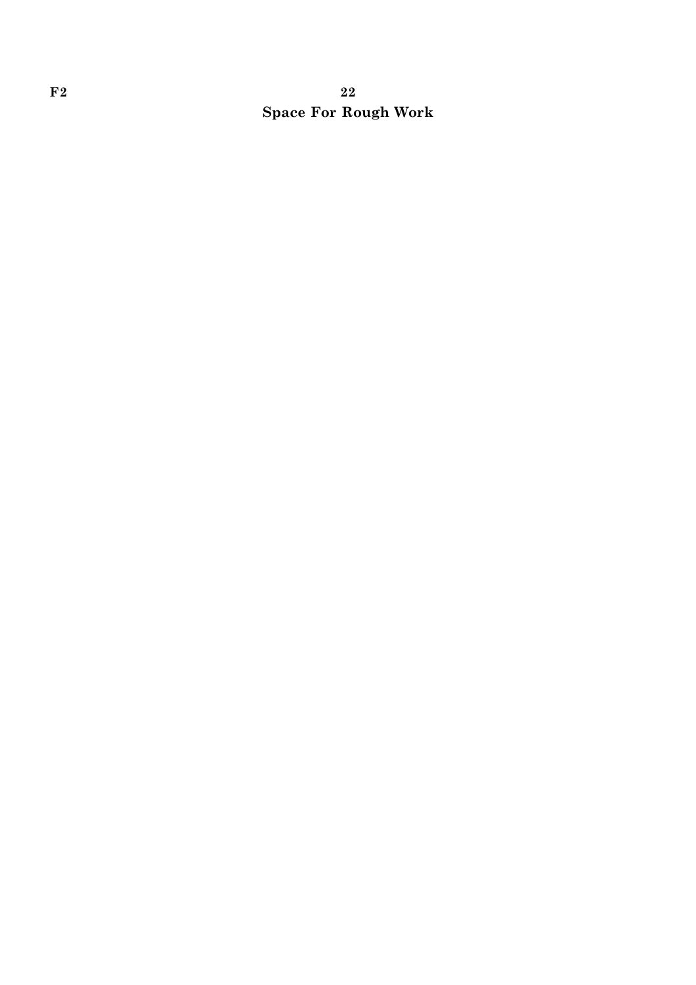# $F2$  and  $F2$  and  $F2$  and  $F2$  and  $F2$  and  $F2$  and  $F2$  and  $F2$  and  $F2$  and  $F2$  and  $F2$  and  $F2$  and  $F2$  and  $F2$  and  $F2$  and  $F2$  and  $F2$  and  $F2$  and  $F2$  and  $F2$  and  $F2$  and  $F2$  and  $F2$  and  $F2$  and  $F2$  Space For Rough Work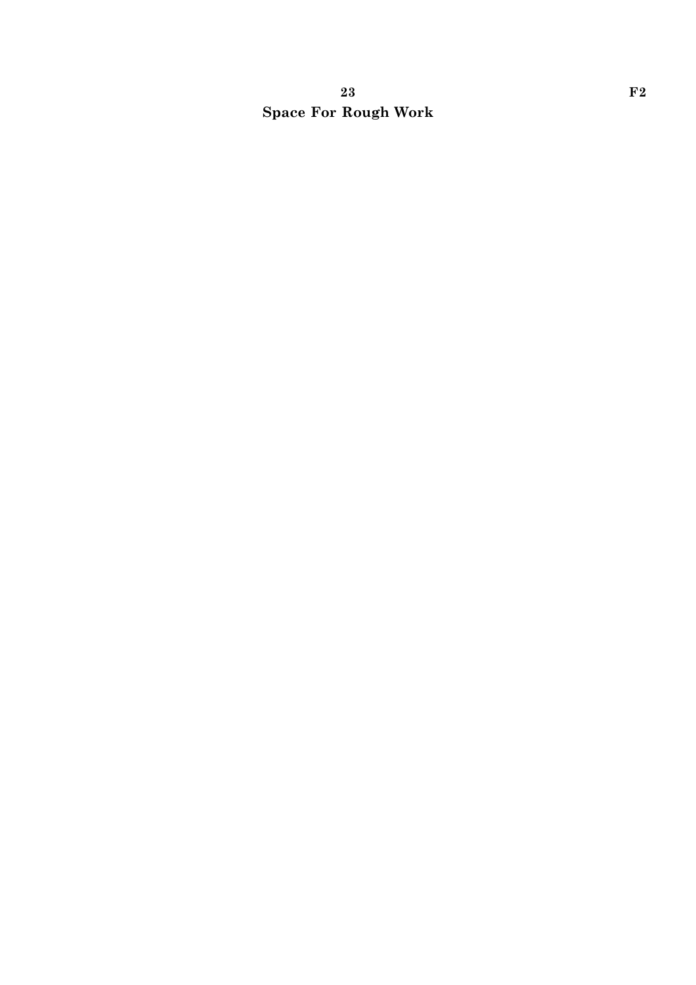# 23 F2 Space For Rough Work